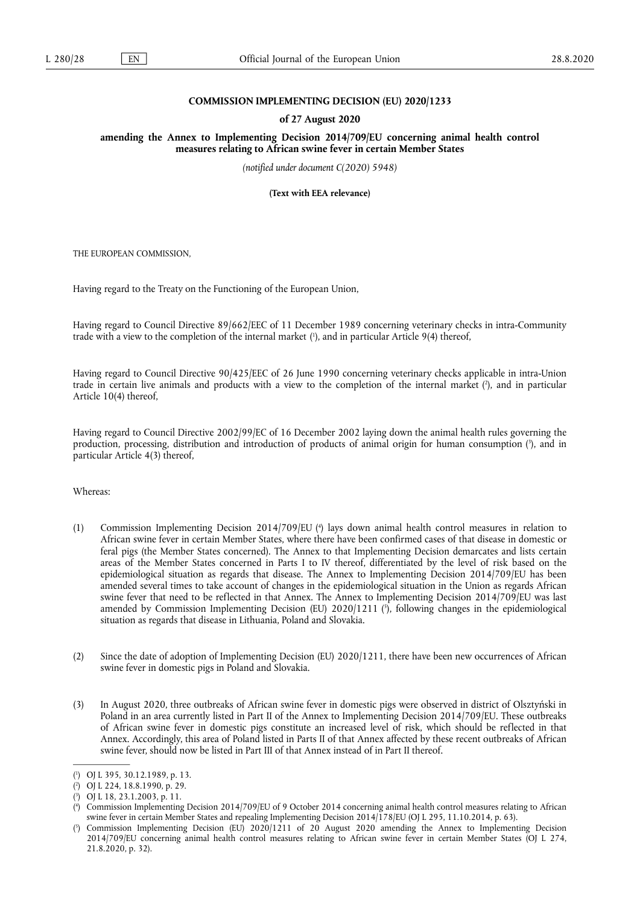### **COMMISSION IMPLEMENTING DECISION (EU) 2020/1233**

#### **of 27 August 2020**

**amending the Annex to Implementing Decision 2014/709/EU concerning animal health control measures relating to African swine fever in certain Member States** 

*(notified under document C(2020) 5948)* 

**(Text with EEA relevance)** 

THE EUROPEAN COMMISSION,

Having regard to the Treaty on the Functioning of the European Union,

Having regard to Council Directive 89/662/EEC of 11 December 1989 concerning veterinary checks in intra-Community trade with a view to the completion of the internal market ( 1 ), and in particular Article 9(4) thereof,

Having regard to Council Directive 90/425/EEC of 26 June 1990 concerning veterinary checks applicable in intra-Union trade in certain live animals and products with a view to the completion of the internal market (?), and in particular Article 10(4) thereof,

Having regard to Council Directive 2002/99/EC of 16 December 2002 laying down the animal health rules governing the production, processing, distribution and introduction of products of animal origin for human consumption ( 3 ), and in particular Article 4(3) thereof,

Whereas:

- (1) Commission Implementing Decision 2014/709/EU ( 4 ) lays down animal health control measures in relation to African swine fever in certain Member States, where there have been confirmed cases of that disease in domestic or feral pigs (the Member States concerned). The Annex to that Implementing Decision demarcates and lists certain areas of the Member States concerned in Parts I to IV thereof, differentiated by the level of risk based on the epidemiological situation as regards that disease. The Annex to Implementing Decision 2014/709/EU has been amended several times to take account of changes in the epidemiological situation in the Union as regards African swine fever that need to be reflected in that Annex. The Annex to Implementing Decision 2014/709/EU was last amended by Commission Implementing Decision (EU) 2020/1211 ( 5 ), following changes in the epidemiological situation as regards that disease in Lithuania, Poland and Slovakia.
- (2) Since the date of adoption of Implementing Decision (EU) 2020/1211, there have been new occurrences of African swine fever in domestic pigs in Poland and Slovakia.
- (3) In August 2020, three outbreaks of African swine fever in domestic pigs were observed in district of Olsztyński in Poland in an area currently listed in Part II of the Annex to Implementing Decision 2014/709/EU. These outbreaks of African swine fever in domestic pigs constitute an increased level of risk, which should be reflected in that Annex. Accordingly, this area of Poland listed in Parts II of that Annex affected by these recent outbreaks of African swine fever, should now be listed in Part III of that Annex instead of in Part II thereof.

<sup>(</sup> 1 ) OJ L 395, 30.12.1989, p. 13.

<sup>(</sup> 2 ) OJ L 224, 18.8.1990, p. 29.

<sup>(</sup> 3 ) OJ L 18, 23.1.2003, p. 11.

<sup>(</sup> 4 ) Commission Implementing Decision 2014/709/EU of 9 October 2014 concerning animal health control measures relating to African swine fever in certain Member States and repealing Implementing Decision 2014/178/EU (OJ L 295, 11.10.2014, p. 63).

<sup>(</sup> 5 ) Commission Implementing Decision (EU) 2020/1211 of 20 August 2020 amending the Annex to Implementing Decision 2014/709/EU concerning animal health control measures relating to African swine fever in certain Member States (OJ L 274, 21.8.2020, p. 32).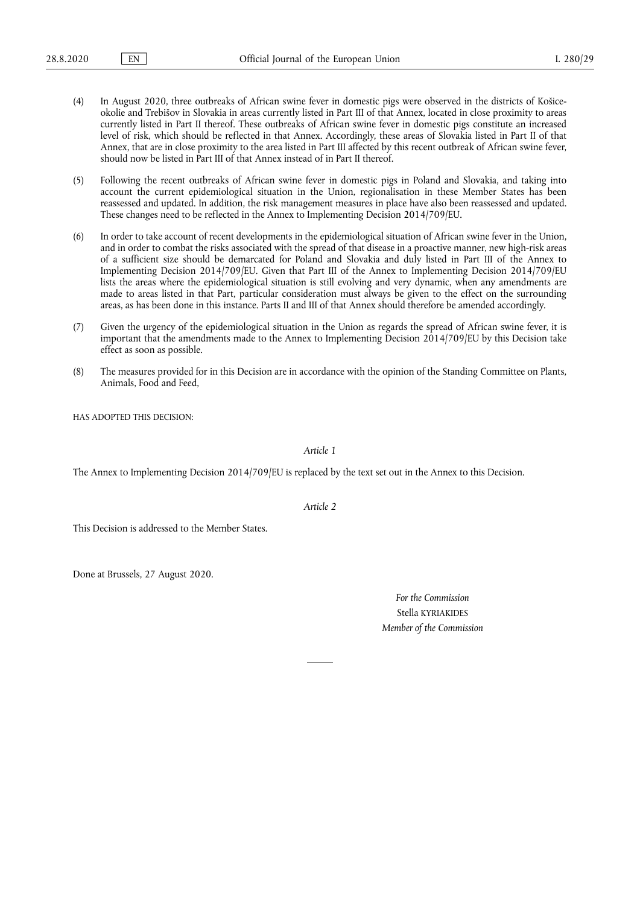- (4) In August 2020, three outbreaks of African swine fever in domestic pigs were observed in the districts of Košiceokolie and Trebišov in Slovakia in areas currently listed in Part III of that Annex, located in close proximity to areas currently listed in Part II thereof. These outbreaks of African swine fever in domestic pigs constitute an increased level of risk, which should be reflected in that Annex. Accordingly, these areas of Slovakia listed in Part II of that Annex, that are in close proximity to the area listed in Part III affected by this recent outbreak of African swine fever, should now be listed in Part III of that Annex instead of in Part II thereof.
- (5) Following the recent outbreaks of African swine fever in domestic pigs in Poland and Slovakia, and taking into account the current epidemiological situation in the Union, regionalisation in these Member States has been reassessed and updated. In addition, the risk management measures in place have also been reassessed and updated. These changes need to be reflected in the Annex to Implementing Decision 2014/709/EU.
- (6) In order to take account of recent developments in the epidemiological situation of African swine fever in the Union, and in order to combat the risks associated with the spread of that disease in a proactive manner, new high-risk areas of a sufficient size should be demarcated for Poland and Slovakia and duly listed in Part III of the Annex to Implementing Decision 2014/709/EU. Given that Part III of the Annex to Implementing Decision 2014/709/EU lists the areas where the epidemiological situation is still evolving and very dynamic, when any amendments are made to areas listed in that Part, particular consideration must always be given to the effect on the surrounding areas, as has been done in this instance. Parts II and III of that Annex should therefore be amended accordingly.
- (7) Given the urgency of the epidemiological situation in the Union as regards the spread of African swine fever, it is important that the amendments made to the Annex to Implementing Decision 2014/709/EU by this Decision take effect as soon as possible.
- (8) The measures provided for in this Decision are in accordance with the opinion of the Standing Committee on Plants, Animals, Food and Feed,

HAS ADOPTED THIS DECISION:

*Article 1* 

The Annex to Implementing Decision 2014/709/EU is replaced by the text set out in the Annex to this Decision.

*Article 2* 

This Decision is addressed to the Member States.

Done at Brussels, 27 August 2020.

*For the Commission*  Stella KYRIAKIDES *Member of the Commission*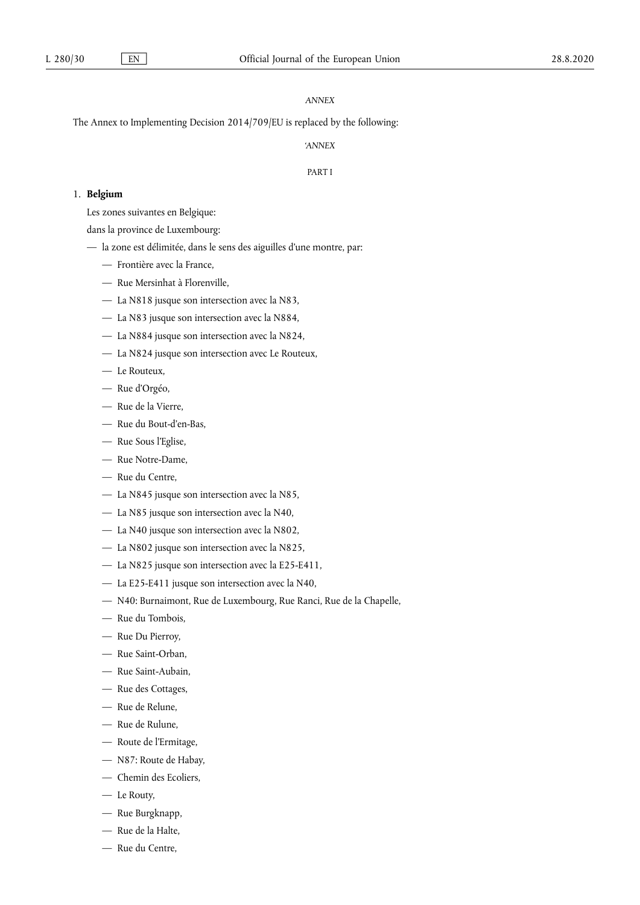# *ANNEX*

The Annex to Implementing Decision 2014/709/EU is replaced by the following:

*'ANNEX* 

#### PART I

# 1. **Belgium**

Les zones suivantes en Belgique:

dans la province de Luxembourg:

- la zone est délimitée, dans le sens des aiguilles d'une montre, par:
	- Frontière avec la France,
	- Rue Mersinhat à Florenville,
	- La N818 jusque son intersection avec la N83,
	- La N83 jusque son intersection avec la N884,
	- La N884 jusque son intersection avec la N824,
	- La N824 jusque son intersection avec Le Routeux,
	- Le Routeux,
	- Rue d'Orgéo,
	- Rue de la Vierre,
	- Rue du Bout-d'en-Bas,
	- Rue Sous l'Eglise,
	- Rue Notre-Dame,
	- Rue du Centre,
	- La N845 jusque son intersection avec la N85,
	- La N85 jusque son intersection avec la N40,
	- La N40 jusque son intersection avec la N802,
	- La N802 jusque son intersection avec la N825,
	- La N825 jusque son intersection avec la E25-E411,
	- La E25-E411 jusque son intersection avec la N40,
	- N40: Burnaimont, Rue de Luxembourg, Rue Ranci, Rue de la Chapelle,
	- Rue du Tombois,
	- Rue Du Pierroy,
	- Rue Saint-Orban,
	- Rue Saint-Aubain,
	- Rue des Cottages,
	- Rue de Relune,
	- Rue de Rulune,
	- Route de l'Ermitage,
	- N87: Route de Habay,
	- Chemin des Ecoliers,
	- Le Routy,
	- Rue Burgknapp,
	- Rue de la Halte,
	- Rue du Centre,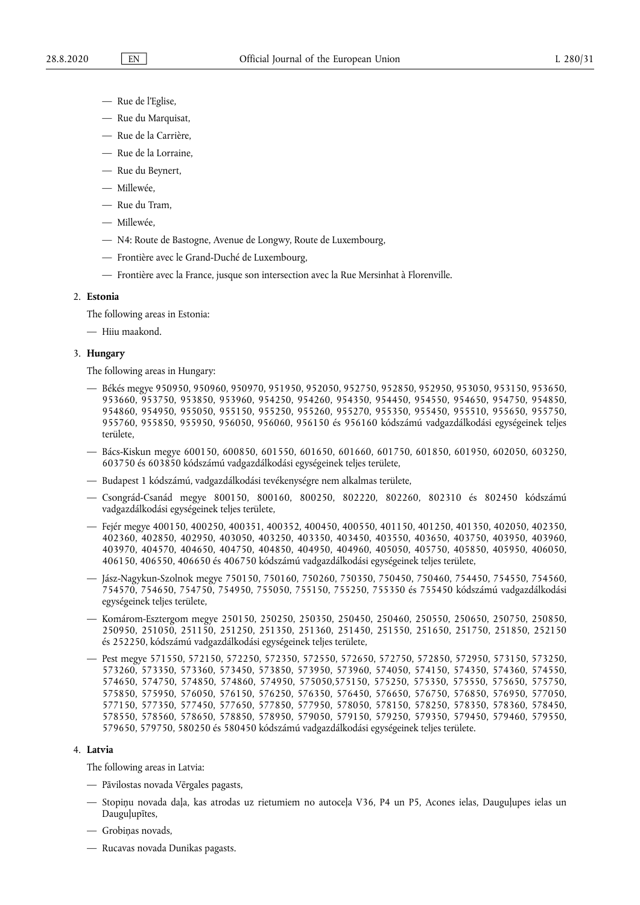- Rue de l'Eglise,
- Rue du Marquisat,
- Rue de la Carrière,
- Rue de la Lorraine,
- Rue du Beynert,
- Millewée,
- Rue du Tram,
- Millewée,
- N4: Route de Bastogne, Avenue de Longwy, Route de Luxembourg,
- Frontière avec le Grand-Duché de Luxembourg,
- Frontière avec la France, jusque son intersection avec la Rue Mersinhat à Florenville.

#### 2. **Estonia**

The following areas in Estonia:

— Hiiu maakond.

### 3. **Hungary**

The following areas in Hungary:

- Békés megye 950950, 950960, 950970, 951950, 952050, 952750, 952850, 952950, 953050, 953150, 953650, 953660, 953750, 953850, 953960, 954250, 954260, 954350, 954450, 954550, 954650, 954750, 954850, 954860, 954950, 955050, 955150, 955250, 955260, 955270, 955350, 955450, 955510, 955650, 955750, 955760, 955850, 955950, 956050, 956060, 956150 és 956160 kódszámú vadgazdálkodási egységeinek teljes területe,
- Bács-Kiskun megye 600150, 600850, 601550, 601650, 601660, 601750, 601850, 601950, 602050, 603250, 603750 és 603850 kódszámú vadgazdálkodási egységeinek teljes területe,
- Budapest 1 kódszámú, vadgazdálkodási tevékenységre nem alkalmas területe,
- Csongrád-Csanád megye 800150, 800160, 800250, 802220, 802260, 802310 és 802450 kódszámú vadgazdálkodási egységeinek teljes területe,
- Fejér megye 400150, 400250, 400351, 400352, 400450, 400550, 401150, 401250, 401350, 402050, 402350, 402360, 402850, 402950, 403050, 403250, 403350, 403450, 403550, 403650, 403750, 403950, 403960, 403970, 404570, 404650, 404750, 404850, 404950, 404960, 405050, 405750, 405850, 405950, 406050, 406150, 406550, 406650 és 406750 kódszámú vadgazdálkodási egységeinek teljes területe,
- Jász-Nagykun-Szolnok megye 750150, 750160, 750260, 750350, 750450, 750460, 754450, 754550, 754560, 754570, 754650, 754750, 754950, 755050, 755150, 755250, 755350 és 755450 kódszámú vadgazdálkodási egységeinek teljes területe,
- Komárom-Esztergom megye 250150, 250250, 250350, 250450, 250460, 250550, 250650, 250750, 250850, 250950, 251050, 251150, 251250, 251350, 251360, 251450, 251550, 251650, 251750, 251850, 252150 és 252250, kódszámú vadgazdálkodási egységeinek teljes területe,
- Pest megye 571550, 572150, 572250, 572350, 572550, 572650, 572750, 572850, 572950, 573150, 573250, 573260, 573350, 573360, 573450, 573850, 573950, 573960, 574050, 574150, 574350, 574360, 574550, 574650, 574750, 574850, 574860, 574950, 575050,575150, 575250, 575350, 575550, 575650, 575750, 575850, 575950, 576050, 576150, 576250, 576350, 576450, 576650, 576750, 576850, 576950, 577050, 577150, 577350, 577450, 577650, 577850, 577950, 578050, 578150, 578250, 578350, 578360, 578450, 578550, 578560, 578650, 578850, 578950, 579050, 579150, 579250, 579350, 579450, 579460, 579550, 579650, 579750, 580250 és 580450 kódszámú vadgazdálkodási egységeinek teljes területe.

## 4. **Latvia**

The following areas in Latvia:

- Pāvilostas novada Vērgales pagasts,
- Stopiņu novada daļa, kas atrodas uz rietumiem no autoceļa V36, P4 un P5, Acones ielas, Dauguļupes ielas un Dauguļupītes,
- Grobiņas novads,
- Rucavas novada Dunikas pagasts.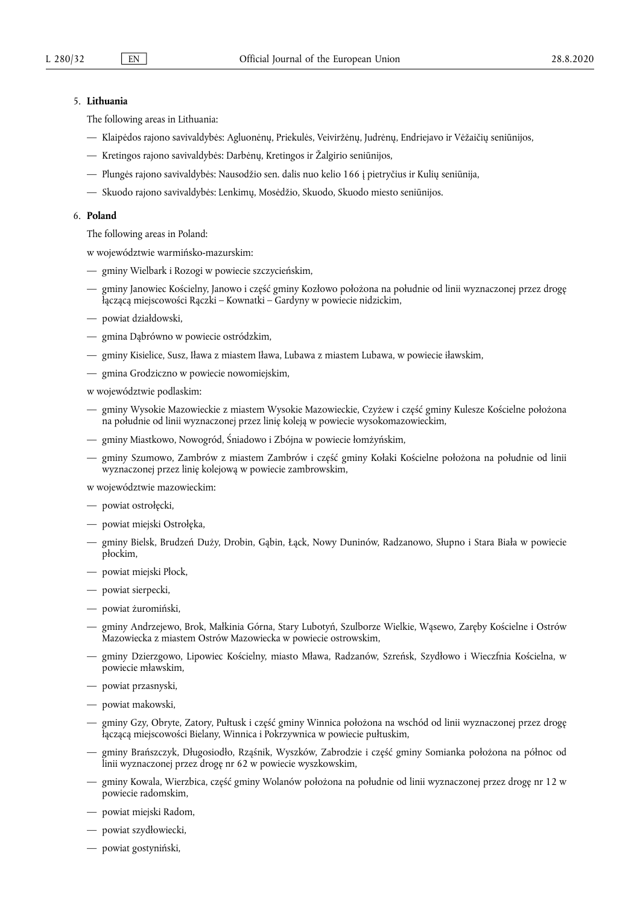## 5. **Lithuania**

The following areas in Lithuania:

- Klaipėdos rajono savivaldybės: Agluonėnų, Priekulės, Veiviržėnų, Judrėnų, Endriejavo ir Vėžaičių seniūnijos,
- Kretingos rajono savivaldybės: Darbėnų, Kretingos ir Žalgirio seniūnijos,
- Plungės rajono savivaldybės: Nausodžio sen. dalis nuo kelio 166 į pietryčius ir Kulių seniūnija,
- Skuodo rajono savivaldybės: Lenkimų, Mosėdžio, Skuodo, Skuodo miesto seniūnijos.

#### 6. **Poland**

The following areas in Poland:

w województwie warmińsko-mazurskim:

- gminy Wielbark i Rozogi w powiecie szczycieńskim,
- gminy Janowiec Kościelny, Janowo i część gminy Kozłowo położona na południe od linii wyznaczonej przez drogę łączącą miejscowości Rączki – Kownatki – Gardyny w powiecie nidzickim,
- powiat działdowski,
- gmina Dąbrówno w powiecie ostródzkim,
- gminy Kisielice, Susz, Iława z miastem Iława, Lubawa z miastem Lubawa, w powiecie iławskim,
- gmina Grodziczno w powiecie nowomiejskim,
- w województwie podlaskim:
- gminy Wysokie Mazowieckie z miastem Wysokie Mazowieckie, Czyżew i część gminy Kulesze Kościelne położona na południe od linii wyznaczonej przez linię koleją w powiecie wysokomazowieckim,
- gminy Miastkowo, Nowogród, Śniadowo i Zbójna w powiecie łomżyńskim,
- gminy Szumowo, Zambrów z miastem Zambrów i część gminy Kołaki Kościelne położona na południe od linii wyznaczonej przez linię kolejową w powiecie zambrowskim,

w województwie mazowieckim:

- powiat ostrołęcki,
- powiat miejski Ostrołęka,
- gminy Bielsk, Brudzeń Duży, Drobin, Gąbin, Łąck, Nowy Duninów, Radzanowo, Słupno i Stara Biała w powiecie płockim,
- powiat miejski Płock,
- powiat sierpecki,
- powiat żuromiński,
- gminy Andrzejewo, Brok, Małkinia Górna, Stary Lubotyń, Szulborze Wielkie, Wąsewo, Zaręby Kościelne i Ostrów Mazowiecka z miastem Ostrów Mazowiecka w powiecie ostrowskim,
- gminy Dzierzgowo, Lipowiec Kościelny, miasto Mława, Radzanów, Szreńsk, Szydłowo i Wieczfnia Kościelna, w powiecie mławskim,
- powiat przasnyski,
- powiat makowski,
- gminy Gzy, Obryte, Zatory, Pułtusk i część gminy Winnica położona na wschód od linii wyznaczonej przez drogę łączącą miejscowości Bielany, Winnica i Pokrzywnica w powiecie pułtuskim,
- gminy Brańszczyk, Długosiodło, Rząśnik, Wyszków, Zabrodzie i część gminy Somianka położona na północ od linii wyznaczonej przez drogę nr 62 w powiecie wyszkowskim,
- gminy Kowala, Wierzbica, część gminy Wolanów położona na południe od linii wyznaczonej przez drogę nr 12 w powiecie radomskim,
- powiat miejski Radom,
- powiat szydłowiecki,
- powiat gostyniński,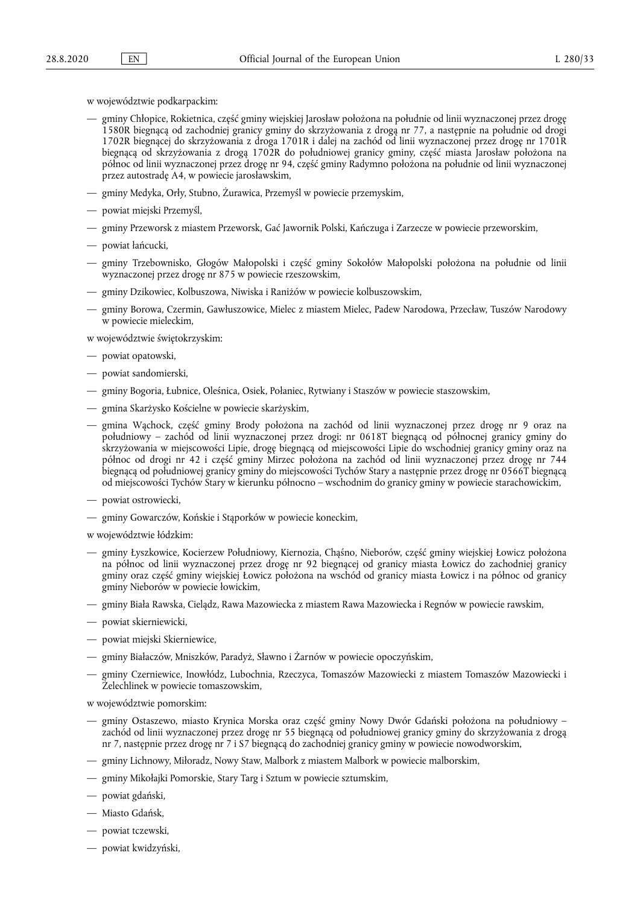w województwie podkarpackim:

- gminy Chłopice, Rokietnica, część gminy wiejskiej Jarosław położona na południe od linii wyznaczonej przez drogę 1580R biegnącą od zachodniej granicy gminy do skrzyżowania z drogą nr 77, a następnie na południe od drogi 1702R biegnącej do skrzyżowania z droga 1701R i dalej na zachód od linii wyznaczonej przez drogę nr 1701R biegnącą od skrzyżowania z drogą 1702R do południowej granicy gminy, część miasta Jarosław położona na północ od linii wyznaczonej przez drogę nr 94, część gminy Radymno położona na południe od linii wyznaczonej przez autostradę A4, w powiecie jarosławskim,
- gminy Medyka, Orły, Stubno, Żurawica, Przemyśl w powiecie przemyskim,
- powiat miejski Przemyśl,
- gminy Przeworsk z miastem Przeworsk, Gać Jawornik Polski, Kańczuga i Zarzecze w powiecie przeworskim,
- powiat łańcucki,
- gminy Trzebownisko, Głogów Małopolski i część gminy Sokołów Małopolski położona na południe od linii wyznaczonej przez drogę nr 875 w powiecie rzeszowskim,
- gminy Dzikowiec, Kolbuszowa, Niwiska i Raniżów w powiecie kolbuszowskim,
- gminy Borowa, Czermin, Gawłuszowice, Mielec z miastem Mielec, Padew Narodowa, Przecław, Tuszów Narodowy w powiecie mieleckim,

w województwie świętokrzyskim:

- powiat opatowski,
- powiat sandomierski,
- gminy Bogoria, Łubnice, Oleśnica, Osiek, Połaniec, Rytwiany i Staszów w powiecie staszowskim,
- gmina Skarżysko Kościelne w powiecie skarżyskim,
- gmina Wąchock, część gminy Brody położona na zachód od linii wyznaczonej przez drogę nr 9 oraz na południowy – zachód od linii wyznaczonej przez drogi: nr 0618T biegnącą od północnej granicy gminy do skrzyżowania w miejscowości Lipie, drogę biegnącą od miejscowości Lipie do wschodniej granicy gminy oraz na północ od drogi nr 42 i część gminy Mirzec położona na zachód od linii wyznaczonej przez drogę nr 744 biegnącą od południowej granicy gminy do miejscowości Tychów Stary a następnie przez drogę nr 0566T biegnącą od miejscowości Tychów Stary w kierunku północno – wschodnim do granicy gminy w powiecie starachowickim,
- powiat ostrowiecki,
- gminy Gowarczów, Końskie i Stąporków w powiecie koneckim,

w województwie łódzkim:

- gminy Łyszkowice, Kocierzew Południowy, Kiernozia, Chąśno, Nieborów, część gminy wiejskiej Łowicz położona na północ od linii wyznaczonej przez drogę nr 92 biegnącej od granicy miasta Łowicz do zachodniej granicy gminy oraz część gminy wiejskiej Łowicz położona na wschód od granicy miasta Łowicz i na północ od granicy gminy Nieborów w powiecie łowickim,
- gminy Biała Rawska, Cielądz, Rawa Mazowiecka z miastem Rawa Mazowiecka i Regnów w powiecie rawskim,
- powiat skierniewicki,
- powiat miejski Skierniewice,
- gminy Białaczów, Mniszków, Paradyż, Sławno i Żarnów w powiecie opoczyńskim,
- gminy Czerniewice, Inowłódz, Lubochnia, Rzeczyca, Tomaszów Mazowiecki z miastem Tomaszów Mazowiecki i Żelechlinek w powiecie tomaszowskim,

w województwie pomorskim:

- gminy Ostaszewo, miasto Krynica Morska oraz część gminy Nowy Dwór Gdański położona na południowy zachód od linii wyznaczonej przez drogę nr 55 biegnącą od południowej granicy gminy do skrzyżowania z drogą nr 7, następnie przez drogę nr 7 i S7 biegnącą do zachodniej granicy gminy w powiecie nowodworskim,
- gminy Lichnowy, Miłoradz, Nowy Staw, Malbork z miastem Malbork w powiecie malborskim,
- gminy Mikołajki Pomorskie, Stary Targ i Sztum w powiecie sztumskim,
- powiat gdański,
- Miasto Gdańsk,
- powiat tczewski,
- powiat kwidzyński,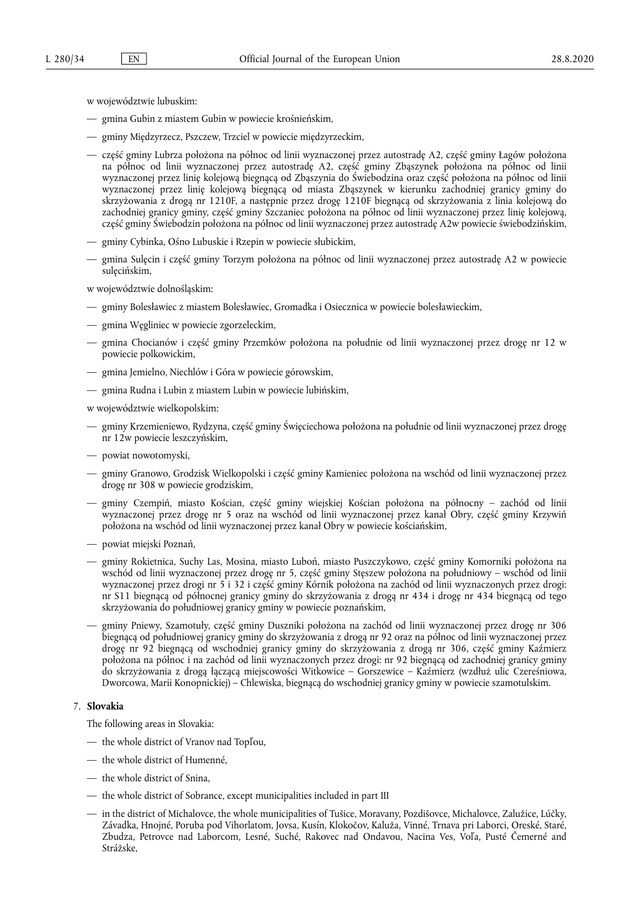w województwie lubuskim:

- gmina Gubin z miastem Gubin w powiecie krośnieńskim,
- gminy Międzyrzecz, Pszczew, Trzciel w powiecie międzyrzeckim,
- część gminy Lubrza położona na północ od linii wyznaczonej przez autostradę A2, część gminy Łagów położona na północ od linii wyznaczonej przez autostradę A2, część gminy Zbąszynek położona na północ od linii wyznaczonej przez linię kolejową biegnącą od Zbąszynia do Świebodzina oraz część położona na północ od linii wyznaczonej przez linię kolejową biegnącą od miasta Zbąszynek w kierunku zachodniej granicy gminy do skrzyżowania z drogą nr 1210F, a następnie przez drogę 1210F biegnącą od skrzyżowania z linia kolejową do zachodniej granicy gminy, część gminy Szczaniec położona na północ od linii wyznaczonej przez linię kolejową, część gminy Świebodzin położona na północ od linii wyznaczonej przez autostradę A2w powiecie świebodzińskim,
- gminy Cybinka, Ośno Lubuskie i Rzepin w powiecie słubickim,
- gmina Sulęcin i część gminy Torzym położona na północ od linii wyznaczonej przez autostradę A2 w powiecie sulęcińskim,

w województwie dolnośląskim:

- gminy Bolesławiec z miastem Bolesławiec, Gromadka i Osiecznica w powiecie bolesławieckim,
- gmina Węgliniec w powiecie zgorzeleckim,
- gmina Chocianów i część gminy Przemków położona na południe od linii wyznaczonej przez drogę nr 12 w powiecie polkowickim,
- gmina Jemielno, Niechlów i Góra w powiecie górowskim,
- gmina Rudna i Lubin z miastem Lubin w powiecie lubińskim,

w województwie wielkopolskim:

- gminy Krzemieniewo, Rydzyna, część gminy Święciechowa położona na południe od linii wyznaczonej przez drogę nr 12w powiecie leszczyńskim,
- powiat nowotomyski,
- gminy Granowo, Grodzisk Wielkopolski i część gminy Kamieniec położona na wschód od linii wyznaczonej przez drogę nr 308 w powiecie grodziskim,
- gminy Czempiń, miasto Kościan, część gminy wiejskiej Kościan położona na północny zachód od linii wyznaczonej przez drogę nr 5 oraz na wschód od linii wyznaczonej przez kanał Obry, część gminy Krzywiń położona na wschód od linii wyznaczonej przez kanał Obry w powiecie kościańskim,
- powiat miejski Poznań,
- gminy Rokietnica, Suchy Las, Mosina, miasto Luboń, miasto Puszczykowo, część gminy Komorniki położona na wschód od linii wyznaczonej przez drogę nr 5, część gminy Stęszew położona na południowy – wschód od linii wyznaczonej przez drogi nr 5 i 32 i część gminy Kórnik położona na zachód od linii wyznaczonych przez drogi: nr S11 biegnącą od północnej granicy gminy do skrzyżowania z drogą nr 434 i drogę nr 434 biegnącą od tego skrzyżowania do południowej granicy gminy w powiecie poznańskim,
- gminy Pniewy, Szamotuły, część gminy Duszniki położona na zachód od linii wyznaczonej przez drogę nr 306 biegnącą od południowej granicy gminy do skrzyżowania z drogą nr 92 oraz na północ od linii wyznaczonej przez drogę nr 92 biegnącą od wschodniej granicy gminy do skrzyżowania z drogą nr 306, część gminy Kaźmierz położona na północ i na zachód od linii wyznaczonych przez drogi: nr 92 biegnącą od zachodniej granicy gminy do skrzyżowania z drogą łączącą miejscowości Witkowice – Gorszewice – Kaźmierz (wzdłuż ulic Czereśniowa, Dworcowa, Marii Konopnickiej) – Chlewiska, biegnącą do wschodniej granicy gminy w powiecie szamotulskim.

### 7. **Slovakia**

The following areas in Slovakia:

- the whole district of Vranov nad Topľou,
- the whole district of Humenné,
- the whole district of Snina,
- the whole district of Sobrance, except municipalities included in part III
- in the district of Michalovce, the whole municipalities of Tušice, Moravany, Pozdišovce, Michalovce, Zalužice, Lúčky, Závadka, Hnojné, Poruba pod Vihorlatom, Jovsa, Kusín, Klokočov, Kaluža, Vinné, Trnava pri Laborci, Oreské, Staré, Zbudza, Petrovce nad Laborcom, Lesné, Suché, Rakovec nad Ondavou, Nacina Ves, Voľa, Pusté Čemerné and Strážske,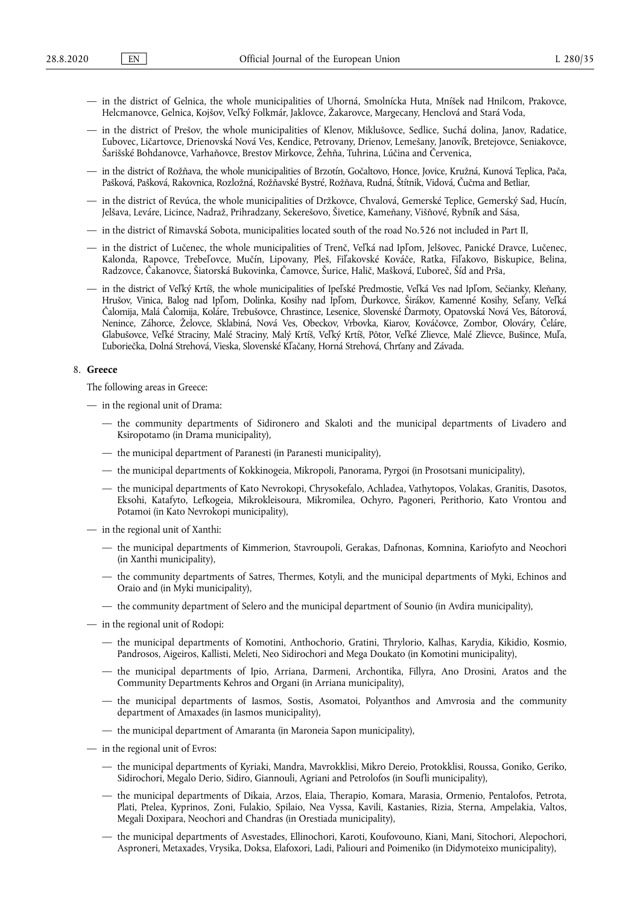- in the district of Gelnica, the whole municipalities of Uhorná, Smolnícka Huta, Mníšek nad Hnilcom, Prakovce, Helcmanovce, Gelnica, Kojšov, Veľký Folkmár, Jaklovce, Žakarovce, Margecany, Henclová and Stará Voda,
- in the district of Prešov, the whole municipalities of Klenov, Miklušovce, Sedlice, Suchá dolina, Janov, Radatice, Ľubovec, Ličartovce, Drienovská Nová Ves, Kendice, Petrovany, Drienov, Lemešany, Janovík, Bretejovce, Seniakovce, Šarišské Bohdanovce, Varhaňovce, Brestov Mirkovce, Žehňa, Tuhrina, Lúčina and Červenica,
- in the district of Rožňava, the whole municipalities of Brzotín, Gočaltovo, Honce, Jovice, Kružná, Kunová Teplica, Pača, Pašková, Pašková, Rakovnica, Rozložná, Rožňavské Bystré, Rožňava, Rudná, Štítnik, Vidová, Čučma and Betliar,
- in the district of Revúca, the whole municipalities of Držkovce, Chvalová, Gemerské Teplice, Gemerský Sad, Hucín, Jelšava, Leváre, Licince, Nadraž, Prihradzany, Sekerešovo, Šivetice, Kameňany, Višňové, Rybník and Sása,
- in the district of Rimavská Sobota, municipalities located south of the road No.526 not included in Part II,
- in the district of Lučenec, the whole municipalities of Trenč, Veľká nad Ipľom, Jelšovec, Panické Dravce, Lučenec, Kalonda, Rapovce, Trebeľovce, Mučín, Lipovany, Pleš, Fiľakovské Kováče, Ratka, Fiľakovo, Biskupice, Belina, Radzovce, Čakanovce, Šiatorská Bukovinka, Čamovce, Šurice, Halič, Mašková, Ľuboreč, Šíd and Prša,
- in the district of Veľký Krtíš, the whole municipalities of Ipeľské Predmostie, Veľká Ves nad Ipľom, Sečianky, Kleňany, Hrušov, Vinica, Balog nad Ipľom, Dolinka, Kosihy nad Ipľom, Ďurkovce, Širákov, Kamenné Kosihy, Seľany, Veľká Čalomija, Malá Čalomija, Koláre, Trebušovce, Chrastince, Lesenice, Slovenské Ďarmoty, Opatovská Nová Ves, Bátorová, Nenince, Záhorce, Želovce, Sklabiná, Nová Ves, Obeckov, Vrbovka, Kiarov, Kováčovce, Zombor, Olováry, Čeláre, Glabušovce, Veľké Straciny, Malé Straciny, Malý Krtíš, Veľký Krtíš, Pôtor, Veľké Zlievce, Malé Zlievce, Bušince, Muľa, Ľuboriečka, Dolná Strehová, Vieska, Slovenské Kľačany, Horná Strehová, Chrťany and Závada.

## 8. **Greece**

The following areas in Greece:

- in the regional unit of Drama:
	- the community departments of Sidironero and Skaloti and the municipal departments of Livadero and Ksiropotamo (in Drama municipality),
	- the municipal department of Paranesti (in Paranesti municipality),
	- the municipal departments of Kokkinogeia, Mikropoli, Panorama, Pyrgoi (in Prosotsani municipality),
	- the municipal departments of Kato Nevrokopi, Chrysokefalo, Achladea, Vathytopos, Volakas, Granitis, Dasotos, Eksohi, Katafyto, Lefkogeia, Mikrokleisoura, Mikromilea, Ochyro, Pagoneri, Perithorio, Kato Vrontou and Potamoi (in Kato Nevrokopi municipality),
- in the regional unit of Xanthi:
	- the municipal departments of Kimmerion, Stavroupoli, Gerakas, Dafnonas, Komnina, Kariofyto and Neochori (in Xanthi municipality),
	- the community departments of Satres, Thermes, Kotyli, and the municipal departments of Myki, Echinos and Oraio and (in Myki municipality),
	- the community department of Selero and the municipal department of Sounio (in Avdira municipality),
- in the regional unit of Rodopi:
	- the municipal departments of Komotini, Anthochorio, Gratini, Thrylorio, Kalhas, Karydia, Kikidio, Kosmio, Pandrosos, Aigeiros, Kallisti, Meleti, Neo Sidirochori and Mega Doukato (in Komotini municipality),
	- the municipal departments of Ipio, Arriana, Darmeni, Archontika, Fillyra, Ano Drosini, Aratos and the Community Departments Kehros and Organi (in Arriana municipality),
	- the municipal departments of Iasmos, Sostis, Asomatoi, Polyanthos and Amvrosia and the community department of Amaxades (in Iasmos municipality),
	- the municipal department of Amaranta (in Maroneia Sapon municipality),
- in the regional unit of Evros:
	- the municipal departments of Kyriaki, Mandra, Mavrokklisi, Mikro Dereio, Protokklisi, Roussa, Goniko, Geriko, Sidirochori, Megalo Derio, Sidiro, Giannouli, Agriani and Petrolofos (in Soufli municipality),
	- the municipal departments of Dikaia, Arzos, Elaia, Therapio, Komara, Marasia, Ormenio, Pentalofos, Petrota, Plati, Ptelea, Kyprinos, Zoni, Fulakio, Spilaio, Nea Vyssa, Kavili, Kastanies, Rizia, Sterna, Ampelakia, Valtos, Megali Doxipara, Neochori and Chandras (in Orestiada municipality),
	- the municipal departments of Asvestades, Ellinochori, Karoti, Koufovouno, Kiani, Mani, Sitochori, Alepochori, Asproneri, Metaxades, Vrysika, Doksa, Elafoxori, Ladi, Paliouri and Poimeniko (in Didymoteixo municipality),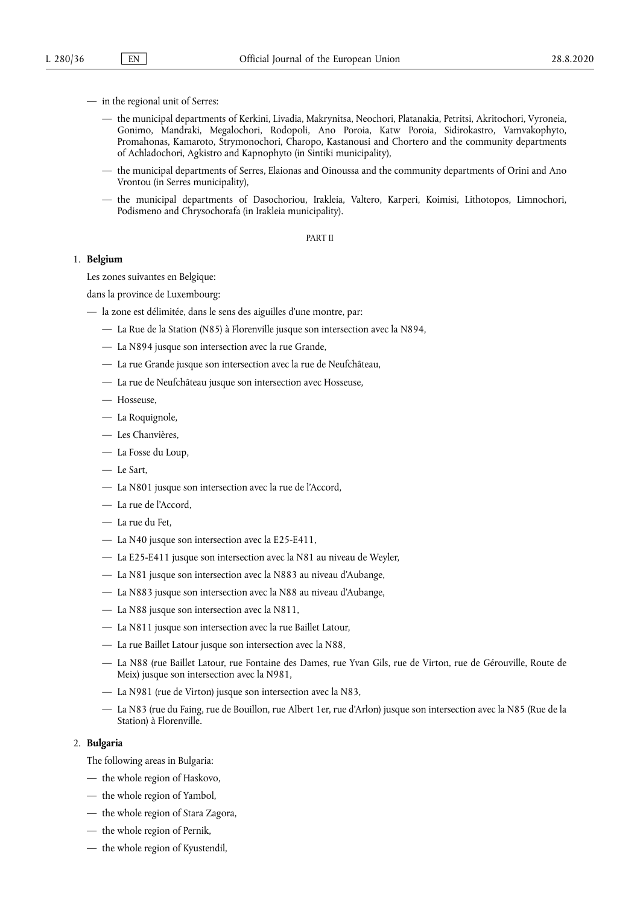- in the regional unit of Serres:
	- the municipal departments of Kerkini, Livadia, Makrynitsa, Neochori, Platanakia, Petritsi, Akritochori, Vyroneia, Gonimo, Mandraki, Megalochori, Rodopoli, Ano Poroia, Katw Poroia, Sidirokastro, Vamvakophyto, Promahonas, Kamaroto, Strymonochori, Charopo, Kastanousi and Chortero and the community departments of Achladochori, Agkistro and Kapnophyto (in Sintiki municipality),
	- the municipal departments of Serres, Elaionas and Oinoussa and the community departments of Orini and Ano Vrontou (in Serres municipality),
	- the municipal departments of Dasochoriou, Irakleia, Valtero, Karperi, Koimisi, Lithotopos, Limnochori, Podismeno and Chrysochorafa (in Irakleia municipality).

PART II

## 1. **Belgium**

Les zones suivantes en Belgique:

dans la province de Luxembourg:

- la zone est délimitée, dans le sens des aiguilles d'une montre, par:
	- La Rue de la Station (N85) à Florenville jusque son intersection avec la N894,
	- La N894 jusque son intersection avec la rue Grande,
	- La rue Grande jusque son intersection avec la rue de Neufchâteau,
	- La rue de Neufchâteau jusque son intersection avec Hosseuse,
	- Hosseuse,
	- La Roquignole,
	- Les Chanvières,
	- La Fosse du Loup,
	- Le Sart,
	- La N801 jusque son intersection avec la rue de l'Accord,
	- La rue de l'Accord,
	- La rue du Fet,
	- La N40 jusque son intersection avec la E25-E411,
	- La E25-E411 jusque son intersection avec la N81 au niveau de Weyler,
	- La N81 jusque son intersection avec la N883 au niveau d'Aubange,
	- La N883 jusque son intersection avec la N88 au niveau d'Aubange,
	- La N88 jusque son intersection avec la N811,
	- La N811 jusque son intersection avec la rue Baillet Latour,
	- La rue Baillet Latour jusque son intersection avec la N88,
	- La N88 (rue Baillet Latour, rue Fontaine des Dames, rue Yvan Gils, rue de Virton, rue de Gérouville, Route de Meix) jusque son intersection avec la N981,
	- La N981 (rue de Virton) jusque son intersection avec la N83,
	- La N83 (rue du Faing, rue de Bouillon, rue Albert 1er, rue d'Arlon) jusque son intersection avec la N85 (Rue de la Station) à Florenville.

## 2. **Bulgaria**

The following areas in Bulgaria:

- the whole region of Haskovo,
- the whole region of Yambol,
- the whole region of Stara Zagora,
- the whole region of Pernik,
- the whole region of Kyustendil,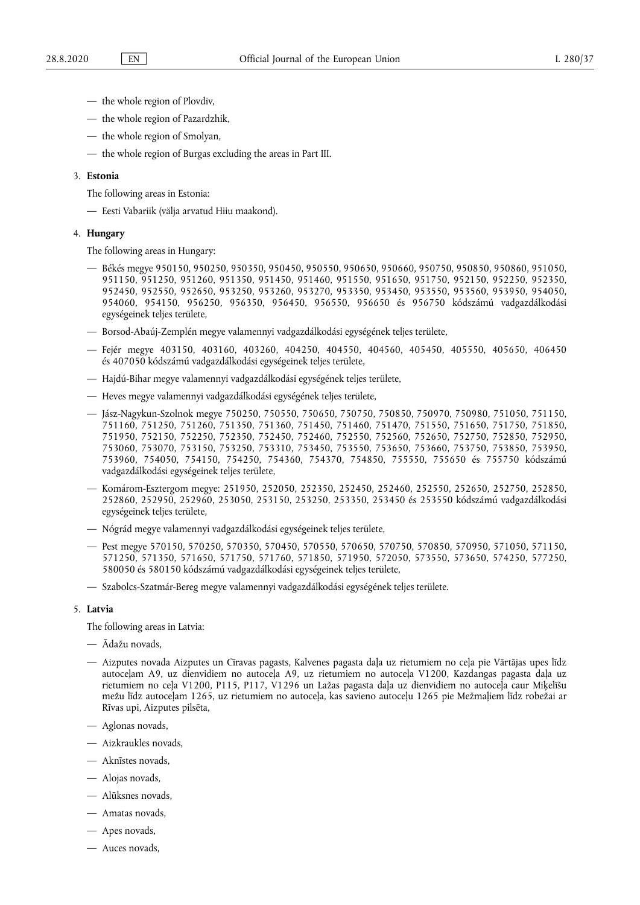- the whole region of Plovdiv,
- the whole region of Pazardzhik,
- the whole region of Smolyan,
- the whole region of Burgas excluding the areas in Part III.

### 3. **Estonia**

The following areas in Estonia:

— Eesti Vabariik (välja arvatud Hiiu maakond).

#### 4. **Hungary**

The following areas in Hungary:

- Békés megye 950150, 950250, 950350, 950450, 950550, 950650, 950660, 950750, 950850, 950860, 951050, 951150, 951250, 951260, 951350, 951450, 951460, 951550, 951650, 951750, 952150, 952250, 952350, 952450, 952550, 952650, 953250, 953260, 953270, 953350, 953450, 953550, 953560, 953950, 954050, 954060, 954150, 956250, 956350, 956450, 956550, 956650 és 956750 kódszámú vadgazdálkodási egységeinek teljes területe,
- Borsod-Abaúj-Zemplén megye valamennyi vadgazdálkodási egységének teljes területe,
- Fejér megye 403150, 403160, 403260, 404250, 404550, 404560, 405450, 405550, 405650, 406450 és 407050 kódszámú vadgazdálkodási egységeinek teljes területe,
- Hajdú-Bihar megye valamennyi vadgazdálkodási egységének teljes területe,
- Heves megye valamennyi vadgazdálkodási egységének teljes területe,
- Jász-Nagykun-Szolnok megye 750250, 750550, 750650, 750750, 750850, 750970, 750980, 751050, 751150, 751160, 751250, 751260, 751350, 751360, 751450, 751460, 751470, 751550, 751650, 751750, 751850, 751950, 752150, 752250, 752350, 752450, 752460, 752550, 752560, 752650, 752750, 752850, 752950, 753060, 753070, 753150, 753250, 753310, 753450, 753550, 753650, 753660, 753750, 753850, 753950, 753960, 754050, 754150, 754250, 754360, 754370, 754850, 755550, 755650 és 755750 kódszámú vadgazdálkodási egységeinek teljes területe,
- Komárom-Esztergom megye: 251950, 252050, 252350, 252450, 252460, 252550, 252650, 252750, 252850, 252860, 252950, 252960, 253050, 253150, 253250, 253350, 253450 és 253550 kódszámú vadgazdálkodási egységeinek teljes területe,
- Nógrád megye valamennyi vadgazdálkodási egységeinek teljes területe,
- Pest megye 570150, 570250, 570350, 570450, 570550, 570650, 570750, 570850, 570950, 571050, 571150, 571250, 571350, 571650, 571750, 571760, 571850, 571950, 572050, 573550, 573650, 574250, 577250, 580050 és 580150 kódszámú vadgazdálkodási egységeinek teljes területe,
- Szabolcs-Szatmár-Bereg megye valamennyi vadgazdálkodási egységének teljes területe.

## 5. **Latvia**

The following areas in Latvia:

- Ādažu novads,
- Aizputes novada Aizputes un Cīravas pagasts, Kalvenes pagasta daļa uz rietumiem no ceļa pie Vārtājas upes līdz autoceļam A9, uz dienvidiem no autoceļa A9, uz rietumiem no autoceļa V1200, Kazdangas pagasta daļa uz rietumiem no ceļa V1200, P115, P117, V1296 un Lažas pagasta daļa uz dienvidiem no autoceļa caur Miķelīšu mežu līdz autoceļam 1265, uz rietumiem no autoceļa, kas savieno autoceļu 1265 pie Mežmaļiem līdz robežai ar Rīvas upi, Aizputes pilsēta,
- Aglonas novads,
- Aizkraukles novads,
- Aknīstes novads,
- Alojas novads,
- Alūksnes novads,
- Amatas novads,
- Apes novads,
- Auces novads,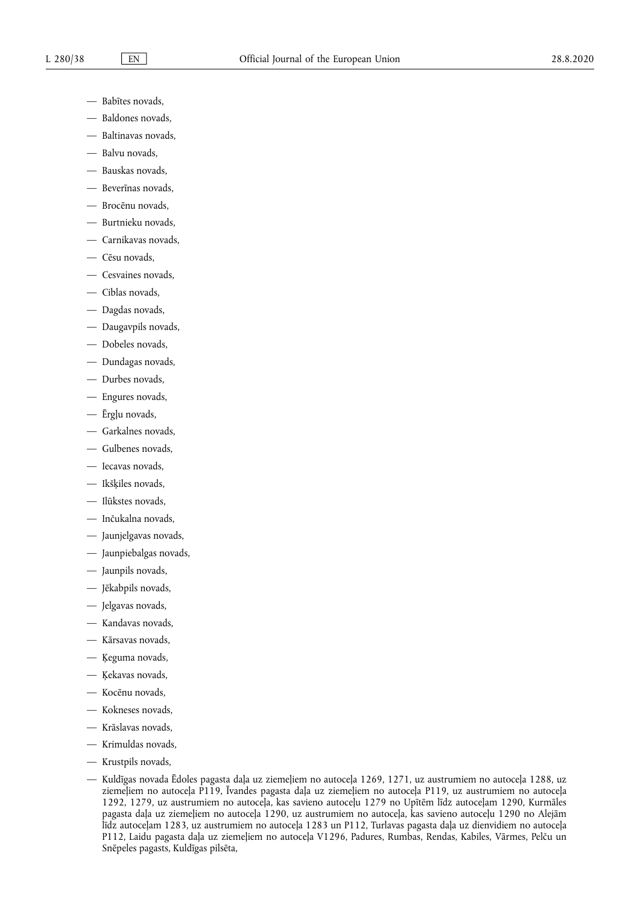- Babītes novads,
- Baldones novads,
- Baltinavas novads,
- Balvu novads,
- Bauskas novads,
- Beverīnas novads,
- Brocēnu novads,
- Burtnieku novads,
- Carnikavas novads,
- Cēsu novads,
- Cesvaines novads,
- Ciblas novads,
- Dagdas novads,
- Daugavpils novads,
- Dobeles novads,
- Dundagas novads,
- Durbes novads,
- Engures novads,
- Ērgļu novads,
- Garkalnes novads,
- Gulbenes novads,
- Iecavas novads,
- Ikšķiles novads,
- Ilūkstes novads,
- Inčukalna novads,
- Jaunjelgavas novads,
- Jaunpiebalgas novads,
- Jaunpils novads,
- Jēkabpils novads,
- Jelgavas novads,
- Kandavas novads,
- Kārsavas novads,
- Ķeguma novads,
- Ķekavas novads,
- Kocēnu novads,
- Kokneses novads,
- Krāslavas novads,
- Krimuldas novads,
- Krustpils novads,
- Kuldīgas novada Ēdoles pagasta daļa uz ziemeļiem no autoceļa 1269, 1271, uz austrumiem no autoceļa 1288, uz ziemeļiem no autoceļa P119, Īvandes pagasta daļa uz ziemeļiem no autoceļa P119, uz austrumiem no autoceļa 1292, 1279, uz austrumiem no autoceļa, kas savieno autoceļu 1279 no Upītēm līdz autoceļam 1290, Kurmāles pagasta daļa uz ziemeļiem no autoceļa 1290, uz austrumiem no autoceļa, kas savieno autoceļu 1290 no Alejām līdz autoceļam 1283, uz austrumiem no autoceļa 1283 un P112, Turlavas pagasta daļa uz dienvidiem no autoceļa P112, Laidu pagasta daļa uz ziemeļiem no autoceļa V1296, Padures, Rumbas, Rendas, Kabiles, Vārmes, Pelču un Snēpeles pagasts, Kuldīgas pilsēta,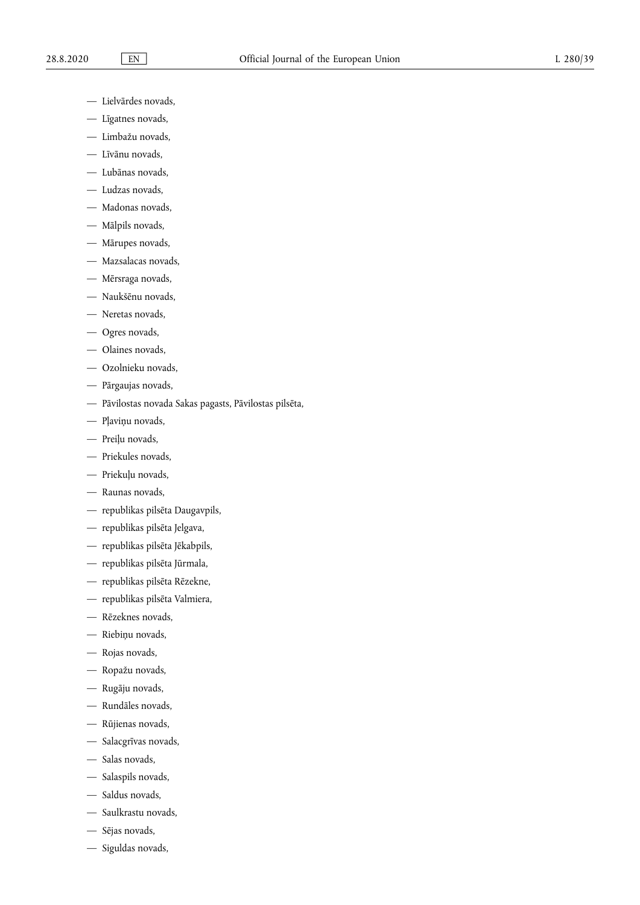- Lielvārdes novads,
- Līgatnes novads,
- Limbažu novads,
- Līvānu novads,
- Lubānas novads,
- Ludzas novads,
- Madonas novads,
- Mālpils novads,
- Mārupes novads,
- Mazsalacas novads,
- Mērsraga novads,
- Naukšēnu novads,
- Neretas novads,
- Ogres novads,
- Olaines novads,
- Ozolnieku novads,
- Pārgaujas novads,
- Pāvilostas novada Sakas pagasts, Pāvilostas pilsēta,
- Pļaviņu novads,
- Preiļu novads,
- Priekules novads,
- Priekuļu novads,
- Raunas novads,
- republikas pilsēta Daugavpils,
- republikas pilsēta Jelgava,
- republikas pilsēta Jēkabpils,
- republikas pilsēta Jūrmala,
- republikas pilsēta Rēzekne,
- republikas pilsēta Valmiera,
- Rēzeknes novads,
- Riebiņu novads,
- Rojas novads,
- Ropažu novads,
- Rugāju novads,
- Rundāles novads,
- Rūjienas novads,
- Salacgrīvas novads,
- Salas novads,
- Salaspils novads,
- Saldus novads,
- Saulkrastu novads,
- Sējas novads,
- Siguldas novads,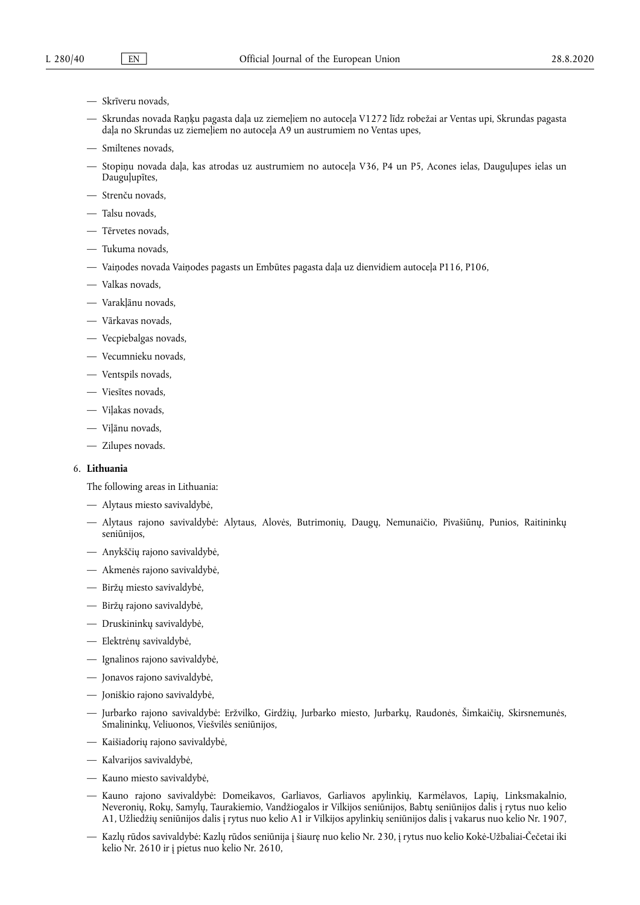- Skrīveru novads,
- Skrundas novada Raņķu pagasta daļa uz ziemeļiem no autoceļa V1272 līdz robežai ar Ventas upi, Skrundas pagasta daļa no Skrundas uz ziemeļiem no autoceļa A9 un austrumiem no Ventas upes,
- Smiltenes novads,
- Stopiņu novada daļa, kas atrodas uz austrumiem no autoceļa V36, P4 un P5, Acones ielas, Dauguļupes ielas un Dauguļupītes,
- Strenču novads,
- Talsu novads,
- Tērvetes novads,
- Tukuma novads,
- Vaiņodes novada Vaiņodes pagasts un Embūtes pagasta daļa uz dienvidiem autoceļa P116, P106,
- Valkas novads,
- Varakļānu novads,
- Vārkavas novads,
- Vecpiebalgas novads,
- Vecumnieku novads,
- Ventspils novads,
- Viesītes novads,
- Viļakas novads,
- Viļānu novads,
- Zilupes novads.

# 6. **Lithuania**

The following areas in Lithuania:

- Alytaus miesto savivaldybė,
- Alytaus rajono savivaldybė: Alytaus, Alovės, Butrimonių, Daugų, Nemunaičio, Pivašiūnų, Punios, Raitininkų seniūnijos,
- Anykščių rajono savivaldybė,
- Akmenės rajono savivaldybė,
- Biržų miesto savivaldybė,
- Biržų rajono savivaldybė,
- Druskininkų savivaldybė,
- Elektrėnų savivaldybė,
- Ignalinos rajono savivaldybė,
- Jonavos rajono savivaldybė,
- Joniškio rajono savivaldybė,
- Jurbarko rajono savivaldybė: Eržvilko, Girdžių, Jurbarko miesto, Jurbarkų, Raudonės, Šimkaičių, Skirsnemunės, Smalininkų, Veliuonos, Viešvilės seniūnijos,
- Kaišiadorių rajono savivaldybė,
- Kalvarijos savivaldybė,
- Kauno miesto savivaldybė,
- Kauno rajono savivaldybė: Domeikavos, Garliavos, Garliavos apylinkių, Karmėlavos, Lapių, Linksmakalnio, Neveronių, Rokų, Samylų, Taurakiemio, Vandžiogalos ir Vilkijos seniūnijos, Babtų seniūnijos dalis į rytus nuo kelio A1, Užliedžių seniūnijos dalis į rytus nuo kelio A1 ir Vilkijos apylinkių seniūnijos dalis į vakarus nuo kelio Nr. 1907,
- Kazlų rūdos savivaldybė: Kazlų rūdos seniūnija į šiaurę nuo kelio Nr. 230, į rytus nuo kelio Kokė-Užbaliai-Čečetai iki kelio Nr. 2610 ir į pietus nuo kelio Nr. 2610,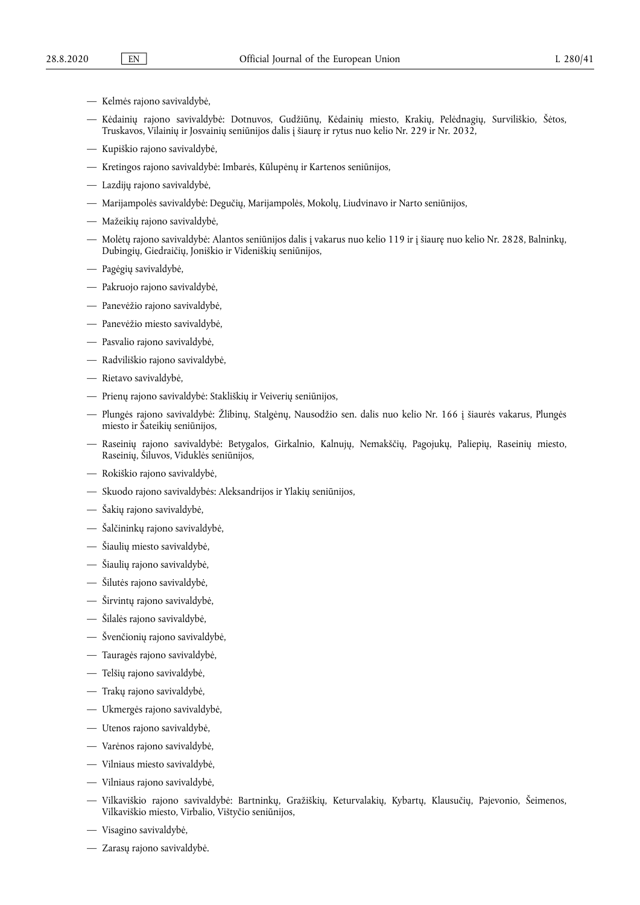- Kelmės rajono savivaldybė,
- Kėdainių rajono savivaldybė: Dotnuvos, Gudžiūnų, Kėdainių miesto, Krakių, Pelėdnagių, Surviliškio, Šėtos, Truskavos, Vilainių ir Josvainių seniūnijos dalis į šiaurę ir rytus nuo kelio Nr. 229 ir Nr. 2032,
- Kupiškio rajono savivaldybė,
- Kretingos rajono savivaldybė: Imbarės, Kūlupėnų ir Kartenos seniūnijos,
- Lazdijų rajono savivaldybė,
- Marijampolės savivaldybė: Degučių, Marijampolės, Mokolų, Liudvinavo ir Narto seniūnijos,
- Mažeikių rajono savivaldybė,
- Molėtų rajono savivaldybė: Alantos seniūnijos dalis į vakarus nuo kelio 119 ir į šiaurę nuo kelio Nr. 2828, Balninkų, Dubingių, Giedraičių, Joniškio ir Videniškių seniūnijos,
- Pagėgių savivaldybė,
- Pakruojo rajono savivaldybė,
- Panevėžio rajono savivaldybė,
- Panevėžio miesto savivaldybė,
- Pasvalio rajono savivaldybė,
- Radviliškio rajono savivaldybė,
- Rietavo savivaldybė,
- Prienų rajono savivaldybė: Stakliškių ir Veiverių seniūnijos,
- Plungės rajono savivaldybė: Žlibinų, Stalgėnų, Nausodžio sen. dalis nuo kelio Nr. 166 į šiaurės vakarus, Plungės miesto ir Šateikių seniūnijos,
- Raseinių rajono savivaldybė: Betygalos, Girkalnio, Kalnujų, Nemakščių, Pagojukų, Paliepių, Raseinių miesto, Raseinių, Šiluvos, Viduklės seniūnijos,
- Rokiškio rajono savivaldybė,
- Skuodo rajono savivaldybės: Aleksandrijos ir Ylakių seniūnijos,
- Šakių rajono savivaldybė,
- Šalčininkų rajono savivaldybė,
- Šiaulių miesto savivaldybė,
- Šiaulių rajono savivaldybė,
- Šilutės rajono savivaldybė,
- Širvintų rajono savivaldybė,
- Šilalės rajono savivaldybė,
- Švenčionių rajono savivaldybė,
- Tauragės rajono savivaldybė,
- Telšių rajono savivaldybė,
- Trakų rajono savivaldybė,
- Ukmergės rajono savivaldybė,
- Utenos rajono savivaldybė,
- Varėnos rajono savivaldybė,
- Vilniaus miesto savivaldybė,
- Vilniaus rajono savivaldybė,
- Vilkaviškio rajono savivaldybė: Bartninkų, Gražiškių, Keturvalakių, Kybartų, Klausučių, Pajevonio, Šeimenos, Vilkaviškio miesto, Virbalio, Vištyčio seniūnijos,
- Visagino savivaldybė,
- Zarasų rajono savivaldybė.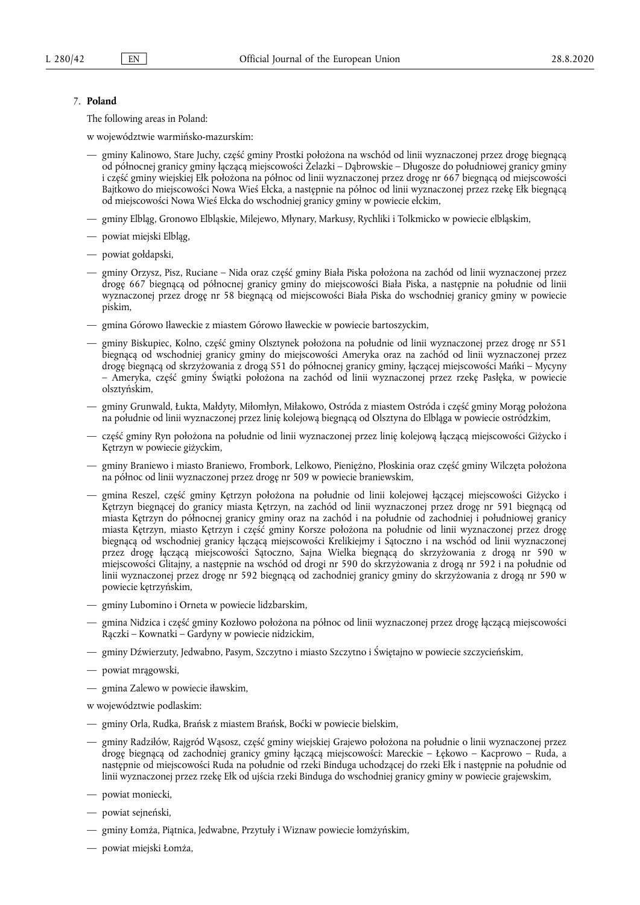## 7. **Poland**

The following areas in Poland:

w województwie warmińsko-mazurskim:

- gminy Kalinowo, Stare Juchy, część gminy Prostki położona na wschód od linii wyznaczonej przez drogę biegnącą od północnej granicy gminy łączącą miejscowości Żelazki – Dąbrowskie – Długosze do południowej granicy gminy i część gminy wiejskiej Ełk położona na północ od linii wyznaczonej przez drogę nr 667 biegnącą od miejscowości Bajtkowo do miejscowości Nowa Wieś Ełcka, a następnie na północ od linii wyznaczonej przez rzekę Ełk biegnącą od miejscowości Nowa Wieś Ełcka do wschodniej granicy gminy w powiecie ełckim,
- gminy Elbląg, Gronowo Elbląskie, Milejewo, Młynary, Markusy, Rychliki i Tolkmicko w powiecie elbląskim,
- powiat miejski Elbląg,
- powiat gołdapski,
- gminy Orzysz, Pisz, Ruciane Nida oraz część gminy Biała Piska położona na zachód od linii wyznaczonej przez drogę 667 biegnącą od północnej granicy gminy do miejscowości Biała Piska, a następnie na południe od linii wyznaczonej przez drogę nr 58 biegnącą od miejscowości Biała Piska do wschodniej granicy gminy w powiecie piskim,
- gmina Górowo Iławeckie z miastem Górowo Iławeckie w powiecie bartoszyckim,
- gminy Biskupiec, Kolno, część gminy Olsztynek położona na południe od linii wyznaczonej przez drogę nr S51 biegnącą od wschodniej granicy gminy do miejscowości Ameryka oraz na zachód od linii wyznaczonej przez drogę biegnącą od skrzyżowania z drogą S51 do północnej granicy gminy, łączącej miejscowości Mańki – Mycyny – Ameryka, część gminy Świątki położona na zachód od linii wyznaczonej przez rzekę Pasłęka, w powiecie olsztyńskim,
- gminy Grunwald, Łukta, Małdyty, Miłomłyn, Miłakowo, Ostróda z miastem Ostróda i część gminy Morąg położona na południe od linii wyznaczonej przez linię kolejową biegnącą od Olsztyna do Elbląga w powiecie ostródzkim,
- część gminy Ryn położona na południe od linii wyznaczonej przez linię kolejową łączącą miejscowości Giżycko i Kętrzyn w powiecie giżyckim,
- gminy Braniewo i miasto Braniewo, Frombork, Lelkowo, Pieniężno, Płoskinia oraz część gminy Wilczęta położona na północ od linii wyznaczonej przez drogę nr 509 w powiecie braniewskim,
- gmina Reszel, część gminy Kętrzyn położona na południe od linii kolejowej łączącej miejscowości Giżycko i Kętrzyn biegnącej do granicy miasta Kętrzyn, na zachód od linii wyznaczonej przez drogę nr 591 biegnącą od miasta Kętrzyn do północnej granicy gminy oraz na zachód i na południe od zachodniej i południowej granicy miasta Kętrzyn, miasto Kętrzyn i część gminy Korsze położona na południe od linii wyznaczonej przez drogę biegnącą od wschodniej granicy łączącą miejscowości Krelikiejmy i Sątoczno i na wschód od linii wyznaczonej przez drogę łączącą miejscowości Sątoczno, Sajna Wielka biegnącą do skrzyżowania z drogą nr 590 w miejscowości Glitajny, a następnie na wschód od drogi nr 590 do skrzyżowania z drogą nr 592 i na południe od linii wyznaczonej przez drogę nr 592 biegnącą od zachodniej granicy gminy do skrzyżowania z drogą nr 590 w powiecie kętrzyńskim,
- gminy Lubomino i Orneta w powiecie lidzbarskim,
- gmina Nidzica i część gminy Kozłowo położona na północ od linii wyznaczonej przez drogę łączącą miejscowości Rączki – Kownatki – Gardyny w powiecie nidzickim,
- gminy Dźwierzuty, Jedwabno, Pasym, Szczytno i miasto Szczytno i Świętajno w powiecie szczycieńskim,
- powiat mrągowski,
- gmina Zalewo w powiecie iławskim,
- w województwie podlaskim:
- gminy Orla, Rudka, Brańsk z miastem Brańsk, Boćki w powiecie bielskim,
- gminy Radziłów, Rajgród Wąsosz, część gminy wiejskiej Grajewo położona na południe o linii wyznaczonej przez drogę biegnącą od zachodniej granicy gminy łączącą miejscowości: Mareckie – Łękowo – Kacprowo – Ruda, a następnie od miejscowości Ruda na południe od rzeki Binduga uchodzącej do rzeki Ełk i następnie na południe od linii wyznaczonej przez rzekę Ełk od ujścia rzeki Binduga do wschodniej granicy gminy w powiecie grajewskim,
- powiat moniecki,
- powiat sejneński,
- gminy Łomża, Piątnica, Jedwabne, Przytuły i Wiznaw powiecie łomżyńskim,
- powiat miejski Łomża,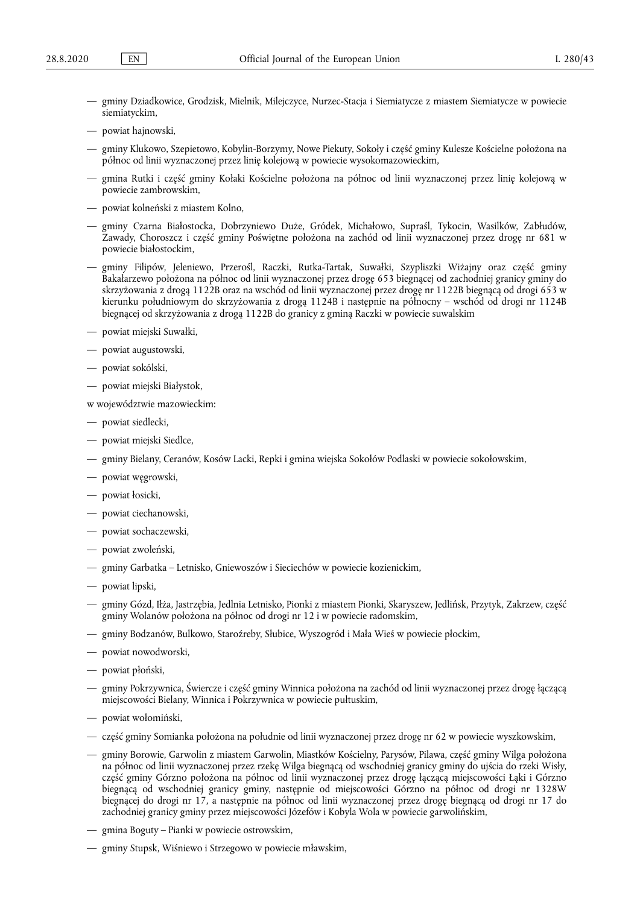- gminy Dziadkowice, Grodzisk, Mielnik, Milejczyce, Nurzec-Stacja i Siemiatycze z miastem Siemiatycze w powiecie siemiatyckim,
- powiat hajnowski,
- gminy Klukowo, Szepietowo, Kobylin-Borzymy, Nowe Piekuty, Sokoły i część gminy Kulesze Kościelne położona na północ od linii wyznaczonej przez linię kolejową w powiecie wysokomazowieckim,
- gmina Rutki i część gminy Kołaki Kościelne położona na północ od linii wyznaczonej przez linię kolejową w powiecie zambrowskim,
- powiat kolneński z miastem Kolno,
- gminy Czarna Białostocka, Dobrzyniewo Duże, Gródek, Michałowo, Supraśl, Tykocin, Wasilków, Zabłudów, Zawady, Choroszcz i część gminy Poświętne położona na zachód od linii wyznaczonej przez drogę nr 681 w powiecie białostockim,
- gminy Filipów, Jeleniewo, Przerośl, Raczki, Rutka-Tartak, Suwałki, Szypliszki Wiżajny oraz część gminy Bakałarzewo położona na północ od linii wyznaczonej przez drogę 653 biegnącej od zachodniej granicy gminy do skrzyżowania z drogą 1122B oraz na wschód od linii wyznaczonej przez drogę nr 1122B biegnącą od drogi 653 w kierunku południowym do skrzyżowania z drogą 1124B i następnie na północny – wschód od drogi nr 1124B biegnącej od skrzyżowania z drogą 1122B do granicy z gminą Raczki w powiecie suwalskim
- powiat miejski Suwałki,
- powiat augustowski,
- powiat sokólski,
- powiat miejski Białystok,

w województwie mazowieckim:

- powiat siedlecki,
- powiat miejski Siedlce,
- gminy Bielany, Ceranów, Kosów Lacki, Repki i gmina wiejska Sokołów Podlaski w powiecie sokołowskim,
- powiat węgrowski,
- powiat łosicki,
- powiat ciechanowski,
- powiat sochaczewski,
- powiat zwoleński,
- gminy Garbatka Letnisko, Gniewoszów i Sieciechów w powiecie kozienickim,
- powiat lipski,
- gminy Gózd, Iłża, Jastrzębia, Jedlnia Letnisko, Pionki z miastem Pionki, Skaryszew, Jedlińsk, Przytyk, Zakrzew, część gminy Wolanów położona na północ od drogi nr 12 i w powiecie radomskim,
- gminy Bodzanów, Bulkowo, Staroźreby, Słubice, Wyszogród i Mała Wieś w powiecie płockim,
- powiat nowodworski,
- powiat płoński,
- gminy Pokrzywnica, Świercze i część gminy Winnica położona na zachód od linii wyznaczonej przez drogę łączącą miejscowości Bielany, Winnica i Pokrzywnica w powiecie pułtuskim,
- powiat wołomiński,
- część gminy Somianka położona na południe od linii wyznaczonej przez drogę nr 62 w powiecie wyszkowskim,
- gminy Borowie, Garwolin z miastem Garwolin, Miastków Kościelny, Parysów, Pilawa, część gminy Wilga położona na północ od linii wyznaczonej przez rzekę Wilga biegnącą od wschodniej granicy gminy do ujścia do rzeki Wisły, część gminy Górzno położona na północ od linii wyznaczonej przez drogę łączącą miejscowości Łąki i Górzno biegnącą od wschodniej granicy gminy, następnie od miejscowości Górzno na północ od drogi nr 1328W biegnącej do drogi nr 17, a następnie na północ od linii wyznaczonej przez drogę biegnącą od drogi nr 17 do zachodniej granicy gminy przez miejscowości Józefów i Kobyla Wola w powiecie garwolińskim,
- gmina Boguty Pianki w powiecie ostrowskim,
- gminy Stupsk, Wiśniewo i Strzegowo w powiecie mławskim,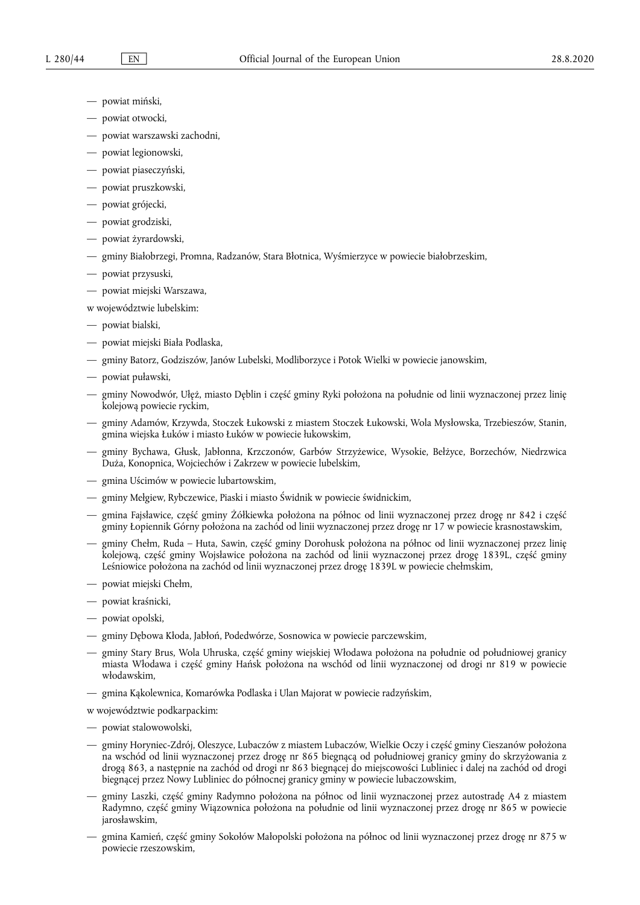- powiat miński,
- powiat otwocki,
- powiat warszawski zachodni,
- powiat legionowski,
- powiat piaseczyński,
- powiat pruszkowski,
- powiat grójecki,
- powiat grodziski,
- powiat żyrardowski,
- gminy Białobrzegi, Promna, Radzanów, Stara Błotnica, Wyśmierzyce w powiecie białobrzeskim,
- powiat przysuski,
- powiat miejski Warszawa,

w województwie lubelskim:

- powiat bialski,
- powiat miejski Biała Podlaska,
- gminy Batorz, Godziszów, Janów Lubelski, Modliborzyce i Potok Wielki w powiecie janowskim,
- powiat puławski,
- gminy Nowodwór, Ułęż, miasto Dęblin i część gminy Ryki położona na południe od linii wyznaczonej przez linię kolejową powiecie ryckim,
- gminy Adamów, Krzywda, Stoczek Łukowski z miastem Stoczek Łukowski, Wola Mysłowska, Trzebieszów, Stanin, gmina wiejska Łuków i miasto Łuków w powiecie łukowskim,
- gminy Bychawa, Głusk, Jabłonna, Krzczonów, Garbów Strzyżewice, Wysokie, Bełżyce, Borzechów, Niedrzwica Duża, Konopnica, Wojciechów i Zakrzew w powiecie lubelskim,
- gmina Uścimów w powiecie lubartowskim,
- gminy Mełgiew, Rybczewice, Piaski i miasto Świdnik w powiecie świdnickim,
- gmina Fajsławice, część gminy Żółkiewka położona na północ od linii wyznaczonej przez drogę nr 842 i część gminy Łopiennik Górny położona na zachód od linii wyznaczonej przez drogę nr 17 w powiecie krasnostawskim,
- gminy Chełm, Ruda Huta, Sawin, część gminy Dorohusk położona na północ od linii wyznaczonej przez linię kolejową, część gminy Wojsławice położona na zachód od linii wyznaczonej przez drogę 1839L, część gminy Leśniowice położona na zachód od linii wyznaczonej przez drogę 1839L w powiecie chełmskim,
- powiat miejski Chełm,
- powiat kraśnicki,
- powiat opolski,
- gminy Dębowa Kłoda, Jabłoń, Podedwórze, Sosnowica w powiecie parczewskim,
- gminy Stary Brus, Wola Uhruska, część gminy wiejskiej Włodawa położona na południe od południowej granicy miasta Włodawa i część gminy Hańsk położona na wschód od linii wyznaczonej od drogi nr 819 w powiecie włodawskim,
- gmina Kąkolewnica, Komarówka Podlaska i Ulan Majorat w powiecie radzyńskim,

w województwie podkarpackim:

- powiat stalowowolski,
- gminy Horyniec-Zdrój, Oleszyce, Lubaczów z miastem Lubaczów, Wielkie Oczy i część gminy Cieszanów położona na wschód od linii wyznaczonej przez drogę nr 865 biegnącą od południowej granicy gminy do skrzyżowania z drogą 863, a następnie na zachód od drogi nr 863 biegnącej do miejscowości Lubliniec i dalej na zachód od drogi biegnącej przez Nowy Lubliniec do północnej granicy gminy w powiecie lubaczowskim,
- gminy Laszki, część gminy Radymno położona na północ od linii wyznaczonej przez autostradę A4 z miastem Radymno, część gminy Wiązownica położona na południe od linii wyznaczonej przez drogę nr 865 w powiecie jarosławskim,
- gmina Kamień, część gminy Sokołów Małopolski położona na północ od linii wyznaczonej przez drogę nr 875 w powiecie rzeszowskim,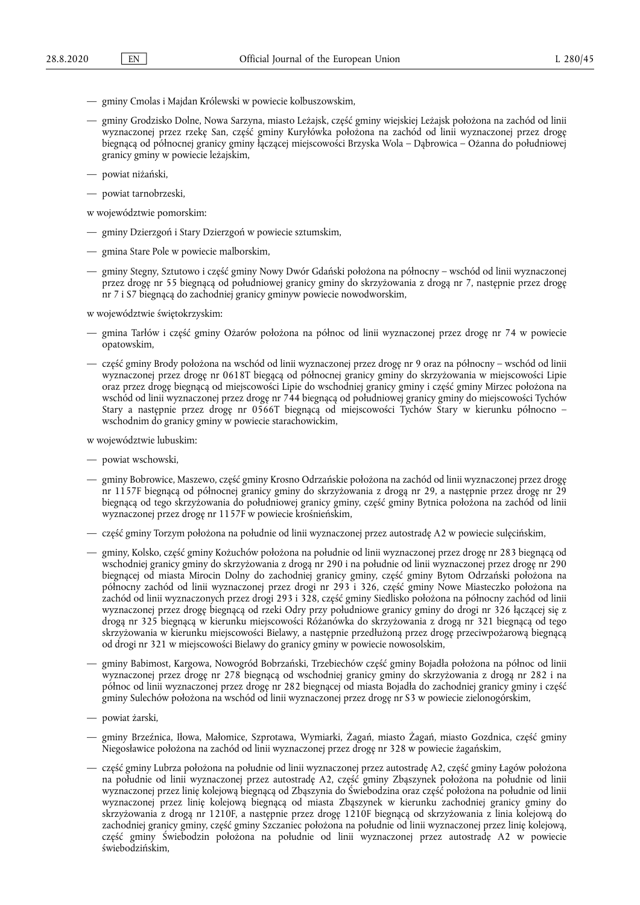- gminy Cmolas i Majdan Królewski w powiecie kolbuszowskim,
- gminy Grodzisko Dolne, Nowa Sarzyna, miasto Leżajsk, część gminy wiejskiej Leżajsk położona na zachód od linii wyznaczonej przez rzekę San, część gminy Kuryłówka położona na zachód od linii wyznaczonej przez drogę biegnącą od północnej granicy gminy łączącej miejscowości Brzyska Wola – Dąbrowica – Ożanna do południowej granicy gminy w powiecie leżajskim,
- powiat niżański,
- powiat tarnobrzeski,

w województwie pomorskim:

- gminy Dzierzgoń i Stary Dzierzgoń w powiecie sztumskim,
- gmina Stare Pole w powiecie malborskim,
- gminy Stegny, Sztutowo i część gminy Nowy Dwór Gdański położona na północny wschód od linii wyznaczonej przez drogę nr 55 biegnącą od południowej granicy gminy do skrzyżowania z drogą nr 7, następnie przez drogę nr 7 i S7 biegnącą do zachodniej granicy gminyw powiecie nowodworskim,

w województwie świętokrzyskim:

- gmina Tarłów i część gminy Ożarów położona na północ od linii wyznaczonej przez drogę nr 74 w powiecie opatowskim,
- część gminy Brody położona na wschód od linii wyznaczonej przez drogę nr 9 oraz na północny wschód od linii wyznaczonej przez drogę nr 0618T biegącą od północnej granicy gminy do skrzyżowania w miejscowości Lipie oraz przez drogę biegnącą od miejscowości Lipie do wschodniej granicy gminy i część gminy Mirzec położona na wschód od linii wyznaczonej przez drogę nr 744 biegnącą od południowej granicy gminy do miejscowości Tychów Stary a następnie przez drogę nr 0566T biegnącą od miejscowości Tychów Stary w kierunku północno – wschodnim do granicy gminy w powiecie starachowickim,

w województwie lubuskim:

- powiat wschowski,
- gminy Bobrowice, Maszewo, część gminy Krosno Odrzańskie położona na zachód od linii wyznaczonej przez drogę nr 1157F biegnącą od północnej granicy gminy do skrzyżowania z drogą nr 29, a następnie przez drogę nr 29 biegnącą od tego skrzyżowania do południowej granicy gminy, część gminy Bytnica położona na zachód od linii wyznaczonej przez drogę nr 1157F w powiecie krośnieńskim,
- część gminy Torzym położona na południe od linii wyznaczonej przez autostradę A2 w powiecie sulęcińskim,
- gminy, Kolsko, część gminy Kożuchów położona na południe od linii wyznaczonej przez drogę nr 283 biegnącą od wschodniej granicy gminy do skrzyżowania z drogą nr 290 i na południe od linii wyznaczonej przez drogę nr 290 biegnącej od miasta Mirocin Dolny do zachodniej granicy gminy, część gminy Bytom Odrzański położona na północny zachód od linii wyznaczonej przez drogi nr 293 i 326, część gminy Nowe Miasteczko położona na zachód od linii wyznaczonych przez drogi 293 i 328, część gminy Siedlisko położona na północny zachód od linii wyznaczonej przez drogę biegnącą od rzeki Odry przy południowe granicy gminy do drogi nr 326 łączącej się z drogą nr 325 biegnącą w kierunku miejscowości Różanówka do skrzyżowania z drogą nr 321 biegnącą od tego skrzyżowania w kierunku miejscowości Bielawy, a następnie przedłużoną przez drogę przeciwpożarową biegnącą od drogi nr 321 w miejscowości Bielawy do granicy gminy w powiecie nowosolskim,
- gminy Babimost, Kargowa, Nowogród Bobrzański, Trzebiechów część gminy Bojadła położona na północ od linii wyznaczonej przez drogę nr 278 biegnącą od wschodniej granicy gminy do skrzyżowania z drogą nr 282 i na północ od linii wyznaczonej przez drogę nr 282 biegnącej od miasta Bojadła do zachodniej granicy gminy i część gminy Sulechów położona na wschód od linii wyznaczonej przez drogę nr S3 w powiecie zielonogórskim,
- powiat żarski,
- gminy Brzeźnica, Iłowa, Małomice, Szprotawa, Wymiarki, Żagań, miasto Żagań, miasto Gozdnica, część gminy Niegosławice położona na zachód od linii wyznaczonej przez drogę nr 328 w powiecie żagańskim,
- część gminy Lubrza położona na południe od linii wyznaczonej przez autostradę A2, część gminy Łagów położona na południe od linii wyznaczonej przez autostradę A2, część gminy Zbąszynek położona na południe od linii wyznaczonej przez linię kolejową biegnącą od Zbąszynia do Świebodzina oraz część położona na południe od linii wyznaczonej przez linię kolejową biegnącą od miasta Zbąszynek w kierunku zachodniej granicy gminy do skrzyżowania z drogą nr 1210F, a następnie przez drogę 1210F biegnącą od skrzyżowania z linia kolejową do zachodniej granicy gminy, część gminy Szczaniec położona na południe od linii wyznaczonej przez linię kolejową, część gminy Świebodzin położona na południe od linii wyznaczonej przez autostradę A2 w powiecie świebodzińskim,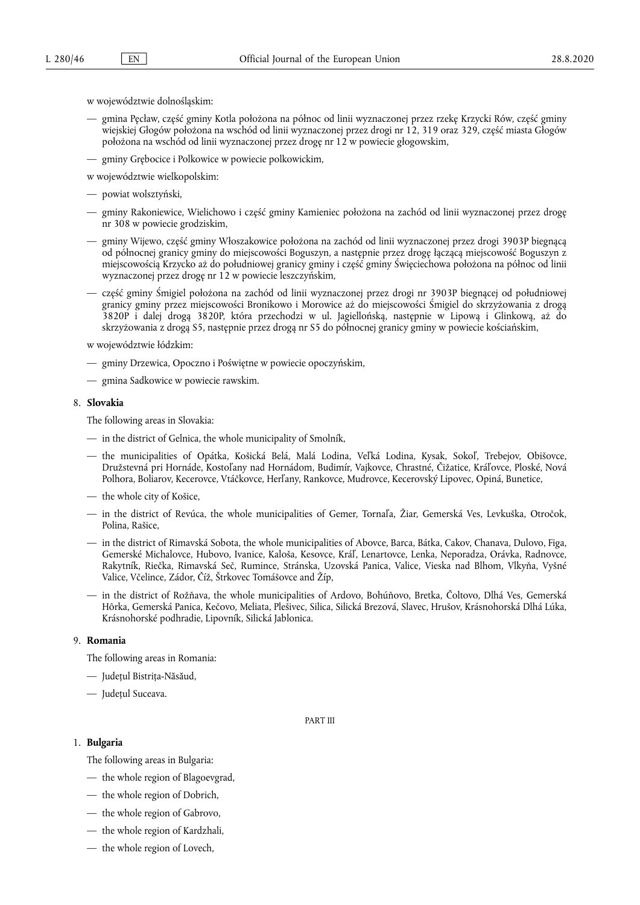w województwie dolnośląskim:

- gmina Pęcław, część gminy Kotla położona na północ od linii wyznaczonej przez rzekę Krzycki Rów, część gminy wiejskiej Głogów położona na wschód od linii wyznaczonej przez drogi nr 12, 319 oraz 329, część miasta Głogów położona na wschód od linii wyznaczonej przez drogę nr 12 w powiecie głogowskim,
- gminy Grębocice i Polkowice w powiecie polkowickim,

w województwie wielkopolskim:

- powiat wolsztyński,
- gminy Rakoniewice, Wielichowo i część gminy Kamieniec położona na zachód od linii wyznaczonej przez drogę nr 308 w powiecie grodziskim,
- gminy Wijewo, część gminy Włoszakowice położona na zachód od linii wyznaczonej przez drogi 3903P biegnącą od północnej granicy gminy do miejscowości Boguszyn, a następnie przez drogę łączącą miejscowość Boguszyn z miejscowością Krzycko aż do południowej granicy gminy i część gminy Święciechowa położona na północ od linii wyznaczonej przez drogę nr 12 w powiecie leszczyńskim,
- część gminy Śmigiel położona na zachód od linii wyznaczonej przez drogi nr 3903P biegnącej od południowej granicy gminy przez miejscowości Bronikowo i Morowice aż do miejscowości Śmigiel do skrzyżowania z drogą 3820P i dalej drogą 3820P, która przechodzi w ul. Jagiellońską, następnie w Lipową i Glinkową, aż do skrzyżowania z drogą S5, następnie przez drogą nr S5 do północnej granicy gminy w powiecie kościańskim,

w województwie łódzkim:

- gminy Drzewica, Opoczno i Poświętne w powiecie opoczyńskim,
- gmina Sadkowice w powiecie rawskim.

#### 8. **Slovakia**

The following areas in Slovakia:

- in the district of Gelnica, the whole municipality of Smolník,
- the municipalities of Opátka, Košická Belá, Malá Lodina, Veľká Lodina, Kysak, Sokoľ, Trebejov, Obišovce, Družstevná pri Hornáde, Kostoľany nad Hornádom, Budimír, Vajkovce, Chrastné, Čižatice, Kráľovce, Ploské, Nová Polhora, Boliarov, Kecerovce, Vtáčkovce, Herľany, Rankovce, Mudrovce, Kecerovský Lipovec, Opiná, Bunetice,
- the whole city of Košice,
- in the district of Revúca, the whole municipalities of Gemer, Tornaľa, Žiar, Gemerská Ves, Levkuška, Otročok, Polina, Rašice,
- in the district of Rimavská Sobota, the whole municipalities of Abovce, Barca, Bátka, Cakov, Chanava, Dulovo, Figa, Gemerské Michalovce, Hubovo, Ivanice, Kaloša, Kesovce, Kráľ, Lenartovce, Lenka, Neporadza, Orávka, Radnovce, Rakytník, Riečka, Rimavská Seč, Rumince, Stránska, Uzovská Panica, Valice, Vieska nad Blhom, Vlkyňa, Vyšné Valice, Včelince, Zádor, Číž, Štrkovec Tomášovce and Žíp,
- in the district of Rožňava, the whole municipalities of Ardovo, Bohúňovo, Bretka, Čoltovo, Dlhá Ves, Gemerská Hôrka, Gemerská Panica, Kečovo, Meliata, Plešivec, Silica, Silická Brezová, Slavec, Hrušov, Krásnohorská Dlhá Lúka, Krásnohorské podhradie, Lipovník, Silická Jablonica.

#### 9. **Romania**

The following areas in Romania:

- Judeţul Bistrița-Năsăud,
- Județul Suceava.

PART III

#### 1. **Bulgaria**

The following areas in Bulgaria:

- the whole region of Blagoevgrad,
- the whole region of Dobrich,
- the whole region of Gabrovo,
- the whole region of Kardzhali,
- the whole region of Lovech,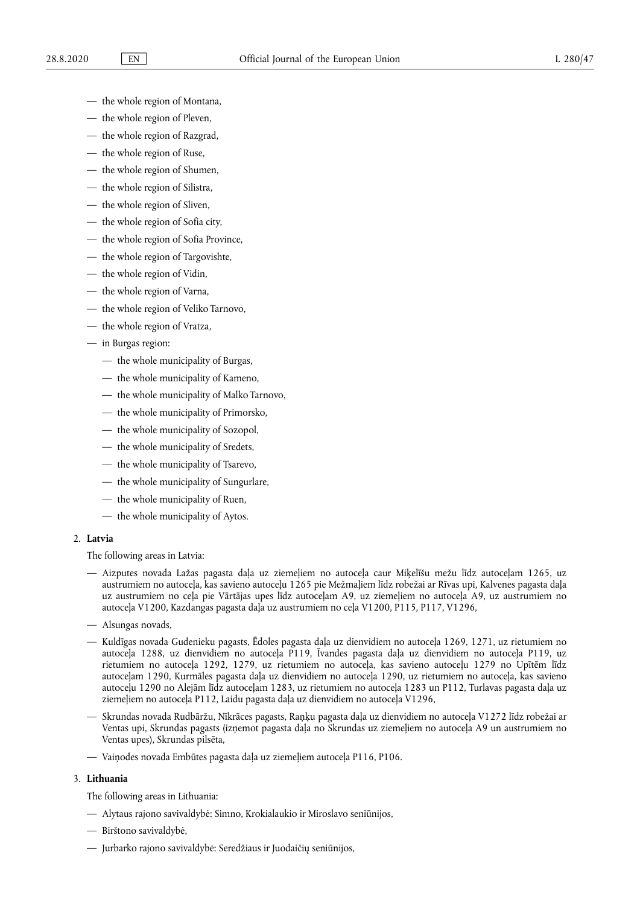- the whole region of Montana,
- the whole region of Pleven,
- the whole region of Razgrad,
- the whole region of Ruse,
- the whole region of Shumen,
- the whole region of Silistra,
- the whole region of Sliven,
- the whole region of Sofia city,
- the whole region of Sofia Province,
- the whole region of Targovishte,
- the whole region of Vidin,
- the whole region of Varna,
- the whole region of Veliko Tarnovo,
- the whole region of Vratza,
- in Burgas region:
	- the whole municipality of Burgas,
	- the whole municipality of Kameno,
	- the whole municipality of Malko Tarnovo,
	- the whole municipality of Primorsko,
	- the whole municipality of Sozopol,
	- the whole municipality of Sredets,
	- the whole municipality of Tsarevo,
	- the whole municipality of Sungurlare,
	- the whole municipality of Ruen,
	- the whole municipality of Aytos.

# 2. **Latvia**

The following areas in Latvia:

- Aizputes novada Lažas pagasta daļa uz ziemeļiem no autoceļa caur Miķelīšu mežu līdz autoceļam 1265, uz austrumiem no autoceļa, kas savieno autoceļu 1265 pie Mežmaļiem līdz robežai ar Rīvas upi, Kalvenes pagasta daļa uz austrumiem no ceļa pie Vārtājas upes līdz autoceļam A9, uz ziemeļiem no autoceļa A9, uz austrumiem no autoceļa V1200, Kazdangas pagasta daļa uz austrumiem no ceļa V1200, P115, P117, V1296,
- Alsungas novads,
- Kuldīgas novada Gudenieku pagasts, Ēdoles pagasta daļa uz dienvidiem no autoceļa 1269, 1271, uz rietumiem no autoceļa 1288, uz dienvidiem no autoceļa P119, Īvandes pagasta daļa uz dienvidiem no autoceļa P119, uz rietumiem no autoceļa 1292, 1279, uz rietumiem no autoceļa, kas savieno autoceļu 1279 no Upītēm līdz autoceļam 1290, Kurmāles pagasta daļa uz dienvidiem no autoceļa 1290, uz rietumiem no autoceļa, kas savieno autoceļu 1290 no Alejām līdz autoceļam 1283, uz rietumiem no autoceļa 1283 un P112, Turlavas pagasta daļa uz ziemeļiem no autoceļa P112, Laidu pagasta daļa uz dienvidiem no autoceļa V1296,
- Skrundas novada Rudbāržu, Nīkrāces pagasts, Raņķu pagasta daļa uz dienvidiem no autoceļa V1272 līdz robežai ar Ventas upi, Skrundas pagasts (izņemot pagasta daļa no Skrundas uz ziemeļiem no autoceļa A9 un austrumiem no Ventas upes), Skrundas pilsēta,
- Vaiņodes novada Embūtes pagasta daļa uz ziemeļiem autoceļa P116, P106.

### 3. **Lithuania**

The following areas in Lithuania:

- Alytaus rajono savivaldybė: Simno, Krokialaukio ir Miroslavo seniūnijos,
- Birštono savivaldybė,
- Jurbarko rajono savivaldybė: Seredžiaus ir Juodaičių seniūnijos,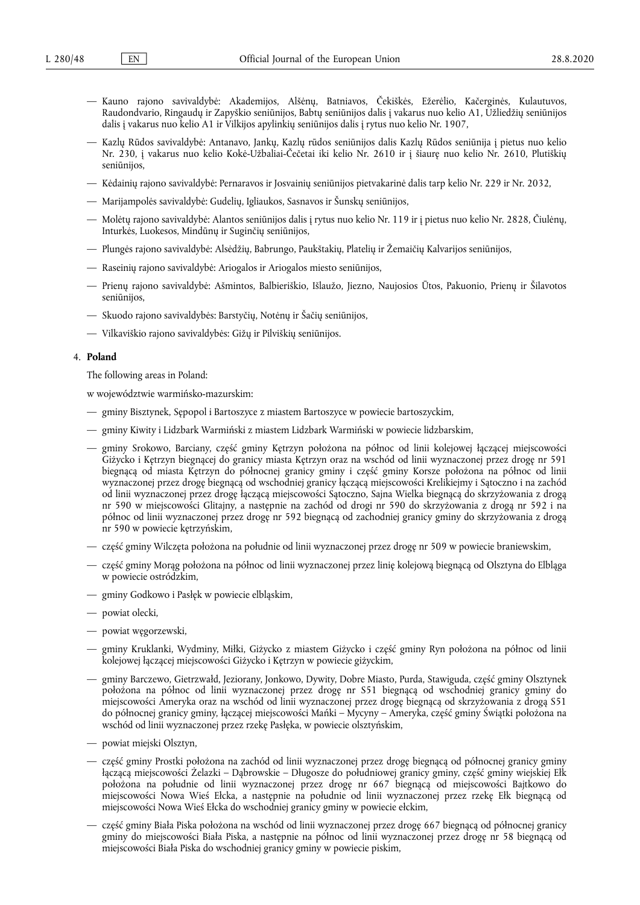- Kauno rajono savivaldybė: Akademijos, Alšėnų, Batniavos, Čekiškės, Ežerėlio, Kačerginės, Kulautuvos, Raudondvario, Ringaudų ir Zapyškio seniūnijos, Babtų seniūnijos dalis į vakarus nuo kelio A1, Užliedžių seniūnijos dalis į vakarus nuo kelio A1 ir Vilkijos apylinkių seniūnijos dalis į rytus nuo kelio Nr. 1907,
- Kazlų Rūdos savivaldybė: Antanavo, Jankų, Kazlų rūdos seniūnijos dalis Kazlų Rūdos seniūnija į pietus nuo kelio Nr. 230, į vakarus nuo kelio Kokė-Užbaliai-Čečetai iki kelio Nr. 2610 ir į šiaurę nuo kelio Nr. 2610, Plutiškių seniūnijos,
- Kėdainių rajono savivaldybė: Pernaravos ir Josvainių seniūnijos pietvakarinė dalis tarp kelio Nr. 229 ir Nr. 2032,
- Marijampolės savivaldybė: Gudelių, Igliaukos, Sasnavos ir Šunskų seniūnijos,
- Molėtų rajono savivaldybė: Alantos seniūnijos dalis į rytus nuo kelio Nr. 119 ir į pietus nuo kelio Nr. 2828, Čiulėnų, Inturkės, Luokesos, Mindūnų ir Suginčių seniūnijos,
- Plungės rajono savivaldybė: Alsėdžių, Babrungo, Paukštakių, Platelių ir Žemaičių Kalvarijos seniūnijos,
- Raseinių rajono savivaldybė: Ariogalos ir Ariogalos miesto seniūnijos,
- Prienų rajono savivaldybė: Ašmintos, Balbieriškio, Išlaužo, Jiezno, Naujosios Ūtos, Pakuonio, Prienų ir Šilavotos seniūnijos,
- Skuodo rajono savivaldybės: Barstyčių, Notėnų ir Šačių seniūnijos,
- Vilkaviškio rajono savivaldybės: Gižų ir Pilviškių seniūnijos.

### 4. **Poland**

The following areas in Poland:

w województwie warmińsko-mazurskim:

- gminy Bisztynek, Sępopol i Bartoszyce z miastem Bartoszyce w powiecie bartoszyckim,
- gminy Kiwity i Lidzbark Warmiński z miastem Lidzbark Warmiński w powiecie lidzbarskim,
- gminy Srokowo, Barciany, część gminy Kętrzyn położona na północ od linii kolejowej łączącej miejscowości Giżycko i Kętrzyn biegnącej do granicy miasta Kętrzyn oraz na wschód od linii wyznaczonej przez drogę nr 591 biegnącą od miasta Kętrzyn do północnej granicy gminy i część gminy Korsze położona na północ od linii wyznaczonej przez drogę biegnącą od wschodniej granicy łączącą miejscowości Krelikiejmy i Sątoczno i na zachód od linii wyznaczonej przez drogę łączącą miejscowości Sątoczno, Sajna Wielka biegnącą do skrzyżowania z drogą nr 590 w miejscowości Glitajny, a następnie na zachód od drogi nr 590 do skrzyżowania z drogą nr 592 i na północ od linii wyznaczonej przez drogę nr 592 biegnącą od zachodniej granicy gminy do skrzyżowania z drogą nr 590 w powiecie kętrzyńskim,
- część gminy Wilczęta położona na południe od linii wyznaczonej przez drogę nr 509 w powiecie braniewskim,
- część gminy Morąg położona na północ od linii wyznaczonej przez linię kolejową biegnącą od Olsztyna do Elbląga w powiecie ostródzkim,
- gminy Godkowo i Pasłęk w powiecie elbląskim,
- powiat olecki,
- powiat węgorzewski,
- gminy Kruklanki, Wydminy, Miłki, Giżycko z miastem Giżycko i część gminy Ryn położona na północ od linii kolejowej łączącej miejscowości Giżycko i Kętrzyn w powiecie giżyckim,
- gminy Barczewo, Gietrzwałd, Jeziorany, Jonkowo, Dywity, Dobre Miasto, Purda, Stawiguda, część gminy Olsztynek położona na północ od linii wyznaczonej przez drogę nr S51 biegnącą od wschodniej granicy gminy do miejscowości Ameryka oraz na wschód od linii wyznaczonej przez drogę biegnącą od skrzyżowania z drogą S51 do północnej granicy gminy, łączącej miejscowości Mańki – Mycyny – Ameryka, część gminy Świątki położona na wschód od linii wyznaczonej przez rzekę Pasłęka, w powiecie olsztyńskim,
- powiat miejski Olsztyn,
- część gminy Prostki położona na zachód od linii wyznaczonej przez drogę biegnącą od północnej granicy gminy łączącą miejscowości Żelazki – Dąbrowskie – Długosze do południowej granicy gminy, część gminy wiejskiej Ełk położona na południe od linii wyznaczonej przez drogę nr 667 biegnącą od miejscowości Bajtkowo do miejscowości Nowa Wieś Ełcka, a następnie na południe od linii wyznaczonej przez rzekę Ełk biegnącą od miejscowości Nowa Wieś Ełcka do wschodniej granicy gminy w powiecie ełckim,
- część gminy Biała Piska położona na wschód od linii wyznaczonej przez drogę 667 biegnącą od północnej granicy gminy do miejscowości Biała Piska, a następnie na północ od linii wyznaczonej przez drogę nr 58 biegnącą od miejscowości Biała Piska do wschodniej granicy gminy w powiecie piskim,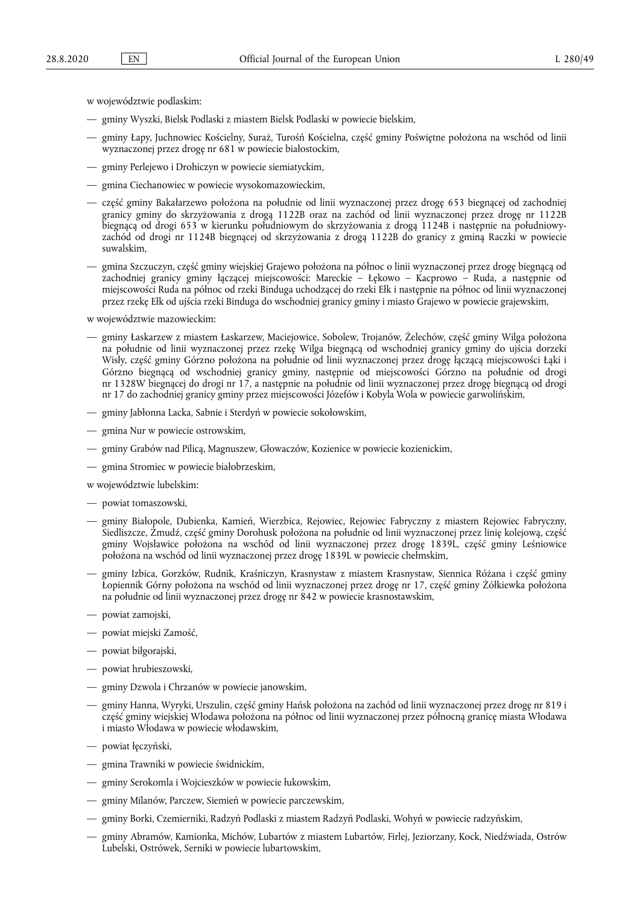w województwie podlaskim:

- gminy Wyszki, Bielsk Podlaski z miastem Bielsk Podlaski w powiecie bielskim,
- gminy Łapy, Juchnowiec Kościelny, Suraż, Turośń Kościelna, część gminy Poświętne położona na wschód od linii wyznaczonej przez drogę nr 681 w powiecie białostockim,
- gminy Perlejewo i Drohiczyn w powiecie siemiatyckim,
- gmina Ciechanowiec w powiecie wysokomazowieckim,
- część gminy Bakałarzewo położona na południe od linii wyznaczonej przez drogę 653 biegnącej od zachodniej granicy gminy do skrzyżowania z drogą 1122B oraz na zachód od linii wyznaczonej przez drogę nr 1122B biegnącą od drogi 653 w kierunku południowym do skrzyżowania z drogą 1124B i następnie na południowyzachód od drogi nr 1124B biegnącej od skrzyżowania z drogą 1122B do granicy z gminą Raczki w powiecie suwalskim,
- gmina Szczuczyn, część gminy wiejskiej Grajewo położona na północ o linii wyznaczonej przez drogę biegnącą od zachodniej granicy gminy łączącej miejscowości: Mareckie – Łękowo – Kacprowo – Ruda, a następnie od miejscowości Ruda na północ od rzeki Binduga uchodzącej do rzeki Ełk i następnie na północ od linii wyznaczonej przez rzekę Ełk od ujścia rzeki Binduga do wschodniej granicy gminy i miasto Grajewo w powiecie grajewskim,

w województwie mazowieckim:

- gminy Łaskarzew z miastem Łaskarzew, Maciejowice, Sobolew, Trojanów, Żelechów, część gminy Wilga położona na południe od linii wyznaczonej przez rzekę Wilga biegnącą od wschodniej granicy gminy do ujścia dorzeki Wisły, część gminy Górzno położona na południe od linii wyznaczonej przez drogę łączącą miejscowości Łąki i Górzno biegnącą od wschodniej granicy gminy, następnie od miejscowości Górzno na południe od drogi nr 1328W biegnącej do drogi nr 17, a następnie na południe od linii wyznaczonej przez drogę biegnącą od drogi nr 17 do zachodniej granicy gminy przez miejscowości Józefów i Kobyla Wola w powiecie garwolińskim,
- gminy Jabłonna Lacka, Sabnie i Sterdyń w powiecie sokołowskim,
- gmina Nur w powiecie ostrowskim,
- gminy Grabów nad Pilicą, Magnuszew, Głowaczów, Kozienice w powiecie kozienickim,
- gmina Stromiec w powiecie białobrzeskim,

w województwie lubelskim:

- powiat tomaszowski,
- gminy Białopole, Dubienka, Kamień, Wierzbica, Rejowiec, Rejowiec Fabryczny z miastem Rejowiec Fabryczny, Siedliszcze, Żmudź, część gminy Dorohusk położona na południe od linii wyznaczonej przez linię kolejową, część gminy Wojsławice położona na wschód od linii wyznaczonej przez drogę 1839L, część gminy Leśniowice położona na wschód od linii wyznaczonej przez drogę 1839L w powiecie chełmskim,
- gminy Izbica, Gorzków, Rudnik, Kraśniczyn, Krasnystaw z miastem Krasnystaw, Siennica Różana i część gminy Łopiennik Górny położona na wschód od linii wyznaczonej przez drogę nr 17, część gminy Żółkiewka położona na południe od linii wyznaczonej przez drogę nr 842 w powiecie krasnostawskim,
- powiat zamojski,
- powiat miejski Zamość,
- powiat biłgorajski,
- powiat hrubieszowski,
- gminy Dzwola i Chrzanów w powiecie janowskim,
- gminy Hanna, Wyryki, Urszulin, część gminy Hańsk położona na zachód od linii wyznaczonej przez drogę nr 819 i część gminy wiejskiej Włodawa położona na północ od linii wyznaczonej przez północną granicę miasta Włodawa i miasto Włodawa w powiecie włodawskim,
- powiat łęczyński,
- gmina Trawniki w powiecie świdnickim,
- gminy Serokomla i Wojcieszków w powiecie łukowskim,
- gminy Milanów, Parczew, Siemień w powiecie parczewskim,
- gminy Borki, Czemierniki, Radzyń Podlaski z miastem Radzyń Podlaski, Wohyń w powiecie radzyńskim,
- gminy Abramów, Kamionka, Michów, Lubartów z miastem Lubartów, Firlej, Jeziorzany, Kock, Niedźwiada, Ostrów Lubelski, Ostrówek, Serniki w powiecie lubartowskim,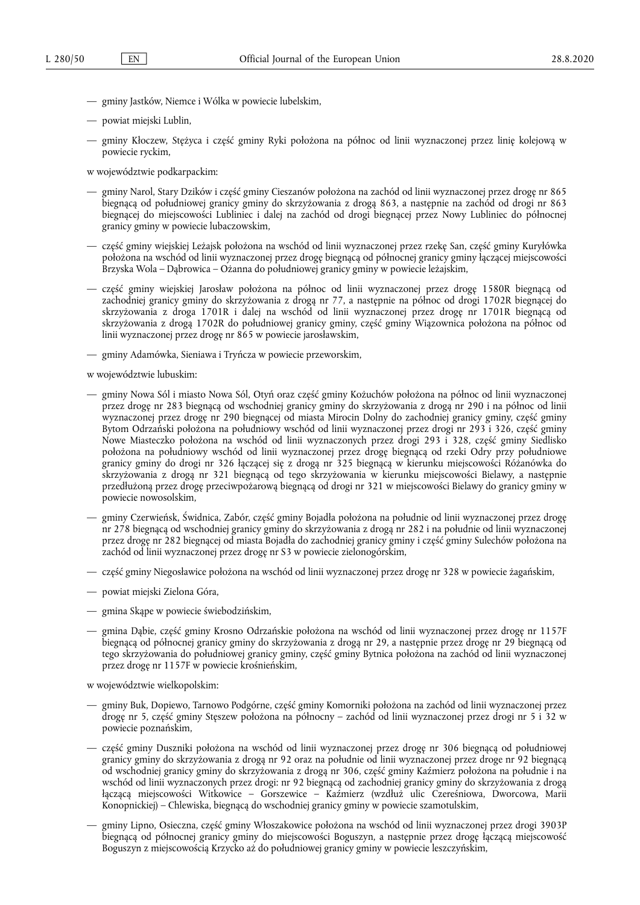- gminy Jastków, Niemce i Wólka w powiecie lubelskim,
- powiat miejski Lublin,
- gminy Kłoczew, Stężyca i część gminy Ryki położona na północ od linii wyznaczonej przez linię kolejową w powiecie ryckim,

w województwie podkarpackim:

- gminy Narol, Stary Dzików i część gminy Cieszanów położona na zachód od linii wyznaczonej przez drogę nr 865 biegnącą od południowej granicy gminy do skrzyżowania z drogą 863, a następnie na zachód od drogi nr 863 biegnącej do miejscowości Lubliniec i dalej na zachód od drogi biegnącej przez Nowy Lubliniec do północnej granicy gminy w powiecie lubaczowskim,
- część gminy wiejskiej Leżajsk położona na wschód od linii wyznaczonej przez rzekę San, część gminy Kuryłówka położona na wschód od linii wyznaczonej przez drogę biegnącą od północnej granicy gminy łączącej miejscowości Brzyska Wola – Dąbrowica – Ożanna do południowej granicy gminy w powiecie leżajskim,
- część gminy wiejskiej Jarosław położona na północ od linii wyznaczonej przez drogę 1580R biegnącą od zachodniej granicy gminy do skrzyżowania z drogą nr 77, a następnie na północ od drogi 1702R biegnącej do skrzyżowania z droga 1701R i dalej na wschód od linii wyznaczonej przez drogę nr 1701R biegnącą od skrzyżowania z drogą 1702R do południowej granicy gminy, część gminy Wiązownica położona na północ od linii wyznaczonej przez drogę nr 865 w powiecie jarosławskim,
- gminy Adamówka, Sieniawa i Tryńcza w powiecie przeworskim,

w województwie lubuskim:

- gminy Nowa Sól i miasto Nowa Sól, Otyń oraz część gminy Kożuchów położona na północ od linii wyznaczonej przez drogę nr 283 biegnącą od wschodniej granicy gminy do skrzyżowania z drogą nr 290 i na północ od linii wyznaczonej przez drogę nr 290 biegnącej od miasta Mirocin Dolny do zachodniej granicy gminy, część gminy Bytom Odrzański położona na południowy wschód od linii wyznaczonej przez drogi nr 293 i 326, część gminy Nowe Miasteczko położona na wschód od linii wyznaczonych przez drogi 293 i 328, część gminy Siedlisko położona na południowy wschód od linii wyznaczonej przez drogę biegnącą od rzeki Odry przy południowe granicy gminy do drogi nr 326 łączącej się z drogą nr 325 biegnącą w kierunku miejscowości Różanówka do skrzyżowania z drogą nr 321 biegnącą od tego skrzyżowania w kierunku miejscowości Bielawy, a następnie przedłużoną przez drogę przeciwpożarową biegnącą od drogi nr 321 w miejscowości Bielawy do granicy gminy w powiecie nowosolskim,
- gminy Czerwieńsk, Świdnica, Zabór, część gminy Bojadła położona na południe od linii wyznaczonej przez drogę nr 278 biegnącą od wschodniej granicy gminy do skrzyżowania z drogą nr 282 i na południe od linii wyznaczonej przez drogę nr 282 biegnącej od miasta Bojadła do zachodniej granicy gminy i część gminy Sulechów położona na zachód od linii wyznaczonej przez drogę nr S3 w powiecie zielonogórskim,
- część gminy Niegosławice położona na wschód od linii wyznaczonej przez drogę nr 328 w powiecie żagańskim,
- powiat miejski Zielona Góra,
- gmina Skąpe w powiecie świebodzińskim,
- gmina Dąbie, część gminy Krosno Odrzańskie położona na wschód od linii wyznaczonej przez drogę nr 1157F biegnącą od północnej granicy gminy do skrzyżowania z drogą nr 29, a następnie przez drogę nr 29 biegnącą od tego skrzyżowania do południowej granicy gminy, część gminy Bytnica położona na zachód od linii wyznaczonej przez drogę nr 1157F w powiecie krośnieńskim,

w województwie wielkopolskim:

- gminy Buk, Dopiewo, Tarnowo Podgórne, część gminy Komorniki położona na zachód od linii wyznaczonej przez drogę nr 5, część gminy Stęszew położona na północny – zachód od linii wyznaczonej przez drogi nr 5 i 32 w powiecie poznańskim,
- część gminy Duszniki położona na wschód od linii wyznaczonej przez drogę nr 306 biegnącą od południowej granicy gminy do skrzyżowania z drogą nr 92 oraz na południe od linii wyznaczonej przez droge nr 92 biegnącą od wschodniej granicy gminy do skrzyżowania z drogą nr 306, część gminy Kaźmierz położona na południe i na wschód od linii wyznaczonych przez drogi: nr 92 biegnącą od zachodniej granicy gminy do skrzyżowania z drogą łączącą miejscowości Witkowice – Gorszewice – Kaźmierz (wzdłuż ulic Czereśniowa, Dworcowa, Marii Konopnickiej) – Chlewiska, biegnącą do wschodniej granicy gminy w powiecie szamotulskim,
- gminy Lipno, Osieczna, część gminy Włoszakowice położona na wschód od linii wyznaczonej przez drogi 3903P biegnącą od północnej granicy gminy do miejscowości Boguszyn, a następnie przez drogę łączącą miejscowość Boguszyn z miejscowością Krzycko aż do południowej granicy gminy w powiecie leszczyńskim,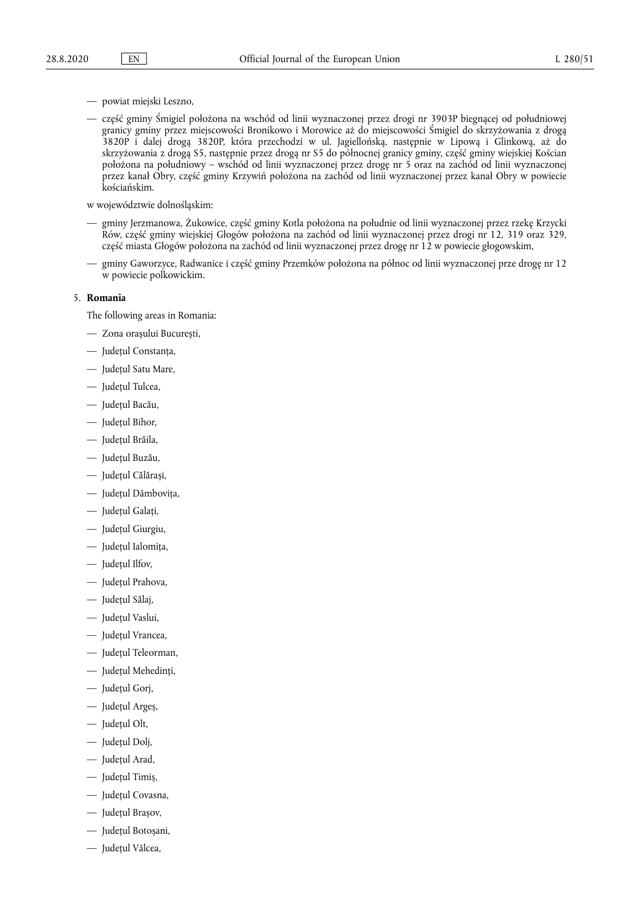- powiat miejski Leszno,
- część gminy Śmigiel położona na wschód od linii wyznaczonej przez drogi nr 3903P biegnącej od południowej granicy gminy przez miejscowości Bronikowo i Morowice aż do miejscowości Śmigiel do skrzyżowania z drogą 3820P i dalej drogą 3820P, która przechodzi w ul. Jagiellońską, następnie w Lipową i Glinkową, aż do skrzyżowania z drogą S5, następnie przez drogą nr S5 do północnej granicy gminy, część gminy wiejskiej Kościan położona na południowy – wschód od linii wyznaczonej przez drogę nr 5 oraz na zachód od linii wyznaczonej przez kanał Obry, część gminy Krzywiń położona na zachód od linii wyznaczonej przez kanał Obry w powiecie kościańskim.

w województwie dolnośląskim:

- gminy Jerzmanowa, Żukowice, część gminy Kotla położona na południe od linii wyznaczonej przez rzekę Krzycki Rów, część gminy wiejskiej Głogów położona na zachód od linii wyznaczonej przez drogi nr 12, 319 oraz 329, część miasta Głogów położona na zachód od linii wyznaczonej przez drogę nr 12 w powiecie głogowskim,
- gminy Gaworzyce, Radwanice i część gminy Przemków położona na północ od linii wyznaczonej prze drogę nr 12 w powiecie polkowickim.

#### 5. **Romania**

The following areas in Romania:

- Zona orașului București,
- Județul Constanța,
- Județul Satu Mare,
- Județul Tulcea,
- Județul Bacău,
- Județul Bihor,
- Județul Brăila,
- Județul Buzău,
- Județul Călărași,
- Județul Dâmbovița,
- Județul Galați,
- Județul Giurgiu,
- Județul Ialomița,
- Județul Ilfov,
- Județul Prahova,
- Județul Sălaj,
- Județul Vaslui,
- Județul Vrancea,
- Județul Teleorman,
- Judeţul Mehedinţi,
- Județul Gorj,
- Județul Argeș,
- Judeţul Olt,
- Judeţul Dolj,
- Județul Arad,
- Județul Timiș,
- Județul Covasna,
- Județul Brașov,
- Județul Botoșani,
- Județul Vâlcea,